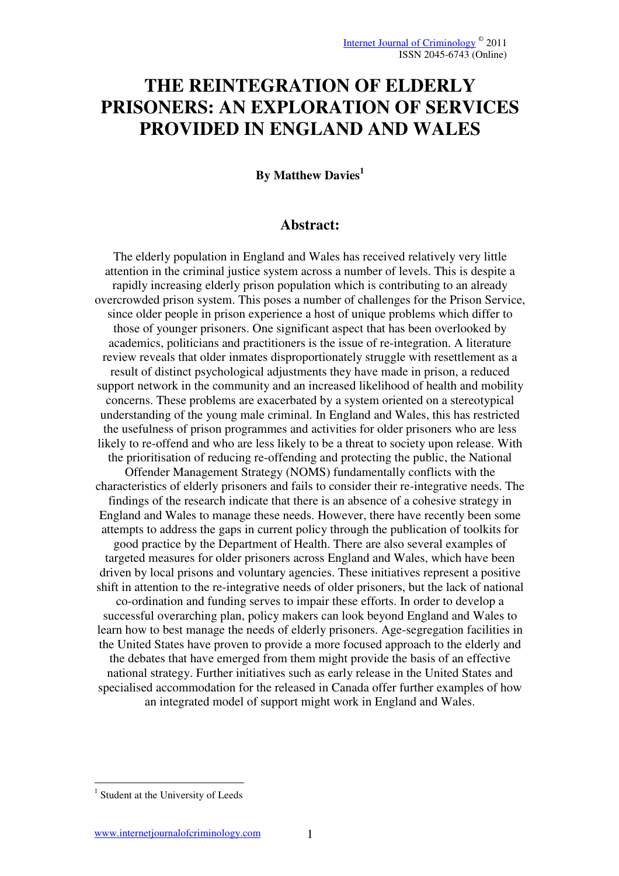# **THE REINTEGRATION OF ELDERLY PRISONERS: AN EXPLORATION OF SERVICES PROVIDED IN ENGLAND AND WALES**

#### **By Matthew Davies<sup>1</sup>**

# **Abstract:**

The elderly population in England and Wales has received relatively very little attention in the criminal justice system across a number of levels. This is despite a rapidly increasing elderly prison population which is contributing to an already overcrowded prison system. This poses a number of challenges for the Prison Service, since older people in prison experience a host of unique problems which differ to those of younger prisoners. One significant aspect that has been overlooked by academics, politicians and practitioners is the issue of re-integration. A literature review reveals that older inmates disproportionately struggle with resettlement as a result of distinct psychological adjustments they have made in prison, a reduced support network in the community and an increased likelihood of health and mobility concerns. These problems are exacerbated by a system oriented on a stereotypical understanding of the young male criminal. In England and Wales, this has restricted the usefulness of prison programmes and activities for older prisoners who are less likely to re-offend and who are less likely to be a threat to society upon release. With the prioritisation of reducing re-offending and protecting the public, the National Offender Management Strategy (NOMS) fundamentally conflicts with the characteristics of elderly prisoners and fails to consider their re-integrative needs. The findings of the research indicate that there is an absence of a cohesive strategy in England and Wales to manage these needs. However, there have recently been some attempts to address the gaps in current policy through the publication of toolkits for good practice by the Department of Health. There are also several examples of targeted measures for older prisoners across England and Wales, which have been driven by local prisons and voluntary agencies. These initiatives represent a positive shift in attention to the re-integrative needs of older prisoners, but the lack of national co-ordination and funding serves to impair these efforts. In order to develop a successful overarching plan, policy makers can look beyond England and Wales to learn how to best manage the needs of elderly prisoners. Age-segregation facilities in the United States have proven to provide a more focused approach to the elderly and the debates that have emerged from them might provide the basis of an effective national strategy. Further initiatives such as early release in the United States and specialised accommodation for the released in Canada offer further examples of how an integrated model of support might work in England and Wales.

<u>.</u>

<sup>&</sup>lt;sup>1</sup> Student at the University of Leeds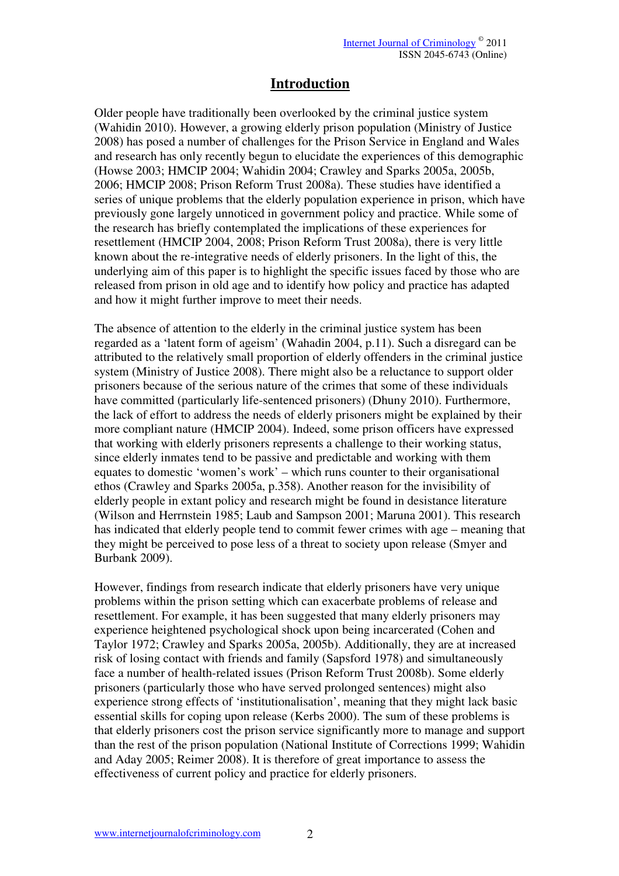# **Introduction**

Older people have traditionally been overlooked by the criminal justice system (Wahidin 2010). However, a growing elderly prison population (Ministry of Justice 2008) has posed a number of challenges for the Prison Service in England and Wales and research has only recently begun to elucidate the experiences of this demographic (Howse 2003; HMCIP 2004; Wahidin 2004; Crawley and Sparks 2005a, 2005b, 2006; HMCIP 2008; Prison Reform Trust 2008a). These studies have identified a series of unique problems that the elderly population experience in prison, which have previously gone largely unnoticed in government policy and practice. While some of the research has briefly contemplated the implications of these experiences for resettlement (HMCIP 2004, 2008; Prison Reform Trust 2008a), there is very little known about the re-integrative needs of elderly prisoners. In the light of this, the underlying aim of this paper is to highlight the specific issues faced by those who are released from prison in old age and to identify how policy and practice has adapted and how it might further improve to meet their needs.

The absence of attention to the elderly in the criminal justice system has been regarded as a 'latent form of ageism' (Wahadin 2004, p.11). Such a disregard can be attributed to the relatively small proportion of elderly offenders in the criminal justice system (Ministry of Justice 2008). There might also be a reluctance to support older prisoners because of the serious nature of the crimes that some of these individuals have committed (particularly life-sentenced prisoners) (Dhuny 2010). Furthermore, the lack of effort to address the needs of elderly prisoners might be explained by their more compliant nature (HMCIP 2004). Indeed, some prison officers have expressed that working with elderly prisoners represents a challenge to their working status, since elderly inmates tend to be passive and predictable and working with them equates to domestic 'women's work' – which runs counter to their organisational ethos (Crawley and Sparks 2005a, p.358). Another reason for the invisibility of elderly people in extant policy and research might be found in desistance literature (Wilson and Herrnstein 1985; Laub and Sampson 2001; Maruna 2001). This research has indicated that elderly people tend to commit fewer crimes with age – meaning that they might be perceived to pose less of a threat to society upon release (Smyer and Burbank 2009).

However, findings from research indicate that elderly prisoners have very unique problems within the prison setting which can exacerbate problems of release and resettlement. For example, it has been suggested that many elderly prisoners may experience heightened psychological shock upon being incarcerated (Cohen and Taylor 1972; Crawley and Sparks 2005a, 2005b). Additionally, they are at increased risk of losing contact with friends and family (Sapsford 1978) and simultaneously face a number of health-related issues (Prison Reform Trust 2008b). Some elderly prisoners (particularly those who have served prolonged sentences) might also experience strong effects of 'institutionalisation', meaning that they might lack basic essential skills for coping upon release (Kerbs 2000). The sum of these problems is that elderly prisoners cost the prison service significantly more to manage and support than the rest of the prison population (National Institute of Corrections 1999; Wahidin and Aday 2005; Reimer 2008). It is therefore of great importance to assess the effectiveness of current policy and practice for elderly prisoners.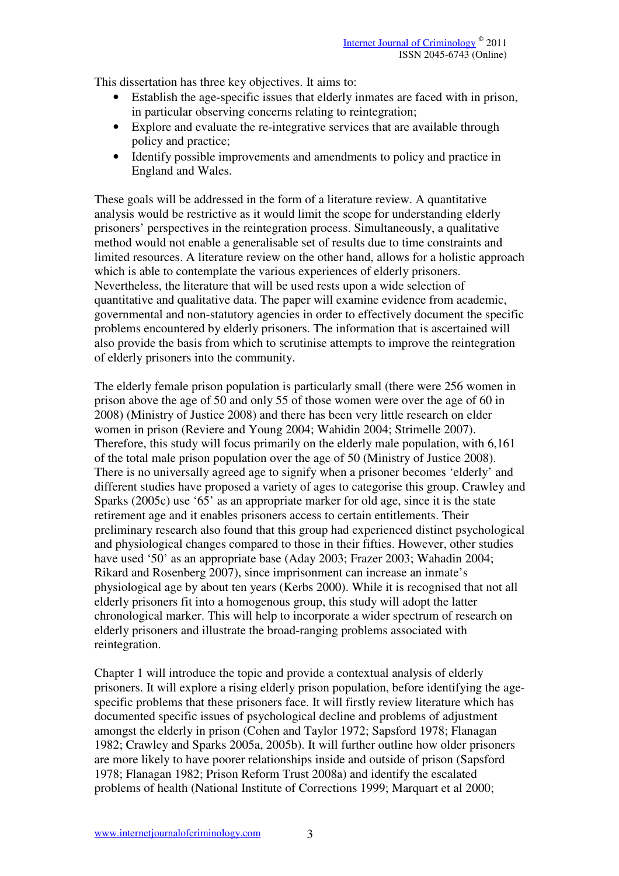This dissertation has three key objectives. It aims to:

- Establish the age-specific issues that elderly inmates are faced with in prison, in particular observing concerns relating to reintegration;
- Explore and evaluate the re-integrative services that are available through policy and practice;
- Identify possible improvements and amendments to policy and practice in England and Wales.

These goals will be addressed in the form of a literature review. A quantitative analysis would be restrictive as it would limit the scope for understanding elderly prisoners' perspectives in the reintegration process. Simultaneously, a qualitative method would not enable a generalisable set of results due to time constraints and limited resources. A literature review on the other hand, allows for a holistic approach which is able to contemplate the various experiences of elderly prisoners. Nevertheless, the literature that will be used rests upon a wide selection of quantitative and qualitative data. The paper will examine evidence from academic, governmental and non-statutory agencies in order to effectively document the specific problems encountered by elderly prisoners. The information that is ascertained will also provide the basis from which to scrutinise attempts to improve the reintegration of elderly prisoners into the community.

The elderly female prison population is particularly small (there were 256 women in prison above the age of 50 and only 55 of those women were over the age of 60 in 2008) (Ministry of Justice 2008) and there has been very little research on elder women in prison (Reviere and Young 2004; Wahidin 2004; Strimelle 2007). Therefore, this study will focus primarily on the elderly male population, with 6,161 of the total male prison population over the age of 50 (Ministry of Justice 2008). There is no universally agreed age to signify when a prisoner becomes 'elderly' and different studies have proposed a variety of ages to categorise this group. Crawley and Sparks (2005c) use '65' as an appropriate marker for old age, since it is the state retirement age and it enables prisoners access to certain entitlements. Their preliminary research also found that this group had experienced distinct psychological and physiological changes compared to those in their fifties. However, other studies have used '50' as an appropriate base (Aday 2003; Frazer 2003; Wahadin 2004; Rikard and Rosenberg 2007), since imprisonment can increase an inmate's physiological age by about ten years (Kerbs 2000). While it is recognised that not all elderly prisoners fit into a homogenous group, this study will adopt the latter chronological marker. This will help to incorporate a wider spectrum of research on elderly prisoners and illustrate the broad-ranging problems associated with reintegration.

Chapter 1 will introduce the topic and provide a contextual analysis of elderly prisoners. It will explore a rising elderly prison population, before identifying the agespecific problems that these prisoners face. It will firstly review literature which has documented specific issues of psychological decline and problems of adjustment amongst the elderly in prison (Cohen and Taylor 1972; Sapsford 1978; Flanagan 1982; Crawley and Sparks 2005a, 2005b). It will further outline how older prisoners are more likely to have poorer relationships inside and outside of prison (Sapsford 1978; Flanagan 1982; Prison Reform Trust 2008a) and identify the escalated problems of health (National Institute of Corrections 1999; Marquart et al 2000;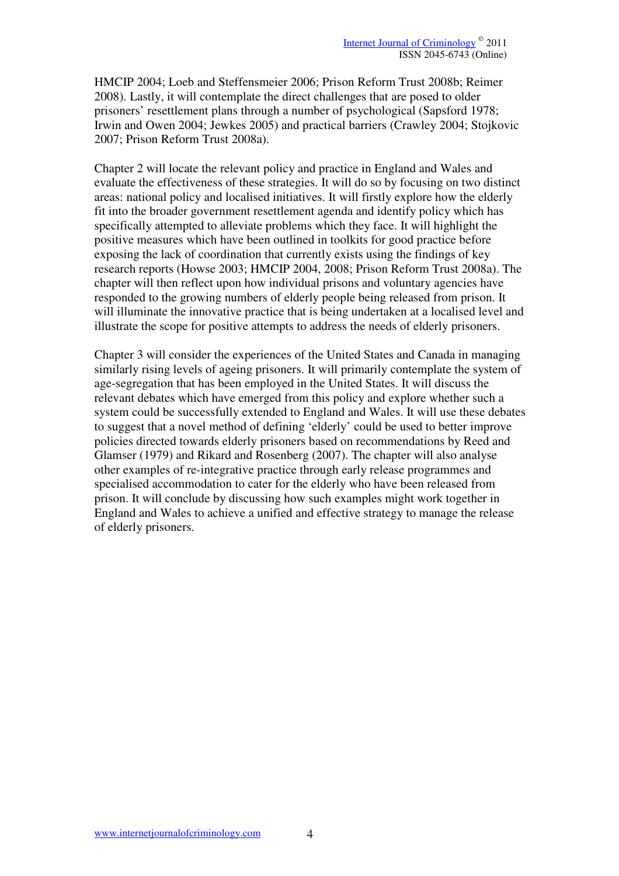HMCIP 2004; Loeb and Steffensmeier 2006; Prison Reform Trust 2008b; Reimer 2008). Lastly, it will contemplate the direct challenges that are posed to older prisoners' resettlement plans through a number of psychological (Sapsford 1978; Irwin and Owen 2004; Jewkes 2005) and practical barriers (Crawley 2004; Stojkovic 2007; Prison Reform Trust 2008a).

Chapter 2 will locate the relevant policy and practice in England and Wales and evaluate the effectiveness of these strategies. It will do so by focusing on two distinct areas: national policy and localised initiatives. It will firstly explore how the elderly fit into the broader government resettlement agenda and identify policy which has specifically attempted to alleviate problems which they face. It will highlight the positive measures which have been outlined in toolkits for good practice before exposing the lack of coordination that currently exists using the findings of key research reports (Howse 2003; HMCIP 2004, 2008; Prison Reform Trust 2008a). The chapter will then reflect upon how individual prisons and voluntary agencies have responded to the growing numbers of elderly people being released from prison. It will illuminate the innovative practice that is being undertaken at a localised level and illustrate the scope for positive attempts to address the needs of elderly prisoners.

Chapter 3 will consider the experiences of the United States and Canada in managing similarly rising levels of ageing prisoners. It will primarily contemplate the system of age-segregation that has been employed in the United States. It will discuss the relevant debates which have emerged from this policy and explore whether such a system could be successfully extended to England and Wales. It will use these debates to suggest that a novel method of defining 'elderly' could be used to better improve policies directed towards elderly prisoners based on recommendations by Reed and Glamser (1979) and Rikard and Rosenberg (2007). The chapter will also analyse other examples of re-integrative practice through early release programmes and specialised accommodation to cater for the elderly who have been released from prison. It will conclude by discussing how such examples might work together in England and Wales to achieve a unified and effective strategy to manage the release of elderly prisoners.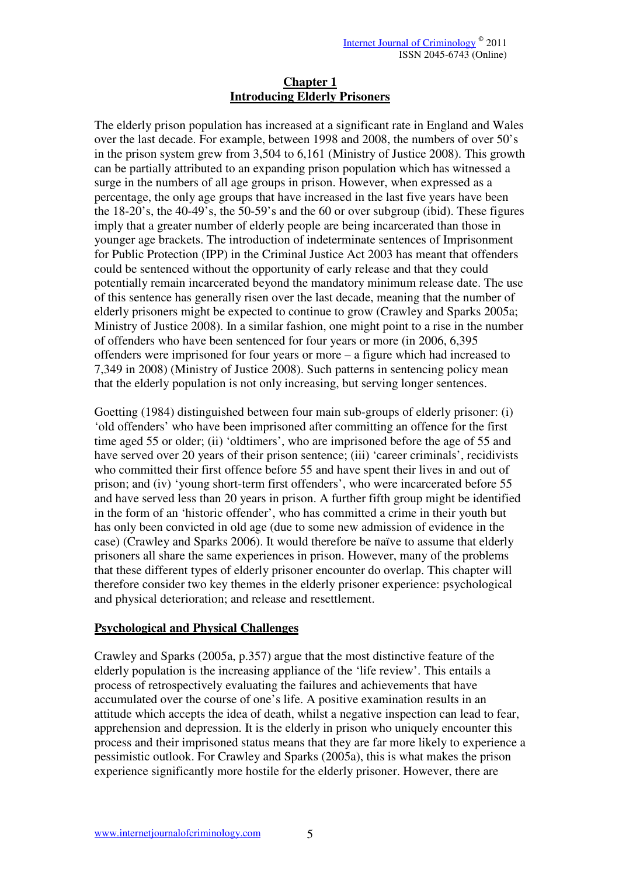#### **Chapter 1 Introducing Elderly Prisoners**

The elderly prison population has increased at a significant rate in England and Wales over the last decade. For example, between 1998 and 2008, the numbers of over 50's in the prison system grew from 3,504 to 6,161 (Ministry of Justice 2008). This growth can be partially attributed to an expanding prison population which has witnessed a surge in the numbers of all age groups in prison. However, when expressed as a percentage, the only age groups that have increased in the last five years have been the 18-20's, the 40-49's, the 50-59's and the 60 or over subgroup (ibid). These figures imply that a greater number of elderly people are being incarcerated than those in younger age brackets. The introduction of indeterminate sentences of Imprisonment for Public Protection (IPP) in the Criminal Justice Act 2003 has meant that offenders could be sentenced without the opportunity of early release and that they could potentially remain incarcerated beyond the mandatory minimum release date. The use of this sentence has generally risen over the last decade, meaning that the number of elderly prisoners might be expected to continue to grow (Crawley and Sparks 2005a; Ministry of Justice 2008). In a similar fashion, one might point to a rise in the number of offenders who have been sentenced for four years or more (in 2006, 6,395 offenders were imprisoned for four years or more – a figure which had increased to 7,349 in 2008) (Ministry of Justice 2008). Such patterns in sentencing policy mean that the elderly population is not only increasing, but serving longer sentences.

Goetting (1984) distinguished between four main sub-groups of elderly prisoner: (i) 'old offenders' who have been imprisoned after committing an offence for the first time aged 55 or older; (ii) 'oldtimers', who are imprisoned before the age of 55 and have served over 20 years of their prison sentence; (iii) 'career criminals', recidivists who committed their first offence before 55 and have spent their lives in and out of prison; and (iv) 'young short-term first offenders', who were incarcerated before 55 and have served less than 20 years in prison. A further fifth group might be identified in the form of an 'historic offender', who has committed a crime in their youth but has only been convicted in old age (due to some new admission of evidence in the case) (Crawley and Sparks 2006). It would therefore be naïve to assume that elderly prisoners all share the same experiences in prison. However, many of the problems that these different types of elderly prisoner encounter do overlap. This chapter will therefore consider two key themes in the elderly prisoner experience: psychological and physical deterioration; and release and resettlement.

# **Psychological and Physical Challenges**

Crawley and Sparks (2005a, p.357) argue that the most distinctive feature of the elderly population is the increasing appliance of the 'life review'. This entails a process of retrospectively evaluating the failures and achievements that have accumulated over the course of one's life. A positive examination results in an attitude which accepts the idea of death, whilst a negative inspection can lead to fear, apprehension and depression. It is the elderly in prison who uniquely encounter this process and their imprisoned status means that they are far more likely to experience a pessimistic outlook. For Crawley and Sparks (2005a), this is what makes the prison experience significantly more hostile for the elderly prisoner. However, there are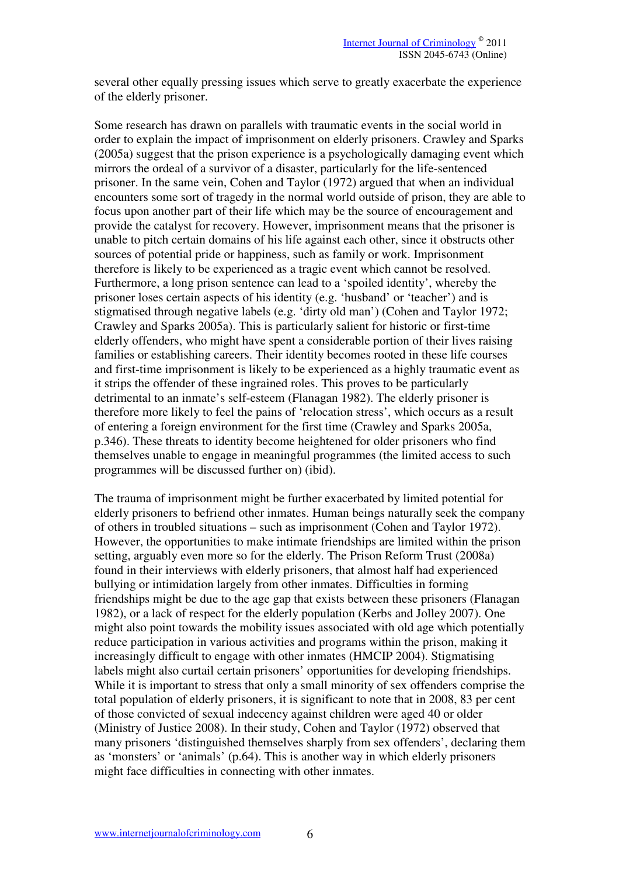several other equally pressing issues which serve to greatly exacerbate the experience of the elderly prisoner.

Some research has drawn on parallels with traumatic events in the social world in order to explain the impact of imprisonment on elderly prisoners. Crawley and Sparks (2005a) suggest that the prison experience is a psychologically damaging event which mirrors the ordeal of a survivor of a disaster, particularly for the life-sentenced prisoner. In the same vein, Cohen and Taylor (1972) argued that when an individual encounters some sort of tragedy in the normal world outside of prison, they are able to focus upon another part of their life which may be the source of encouragement and provide the catalyst for recovery. However, imprisonment means that the prisoner is unable to pitch certain domains of his life against each other, since it obstructs other sources of potential pride or happiness, such as family or work. Imprisonment therefore is likely to be experienced as a tragic event which cannot be resolved. Furthermore, a long prison sentence can lead to a 'spoiled identity', whereby the prisoner loses certain aspects of his identity (e.g. 'husband' or 'teacher') and is stigmatised through negative labels (e.g. 'dirty old man') (Cohen and Taylor 1972; Crawley and Sparks 2005a). This is particularly salient for historic or first-time elderly offenders, who might have spent a considerable portion of their lives raising families or establishing careers. Their identity becomes rooted in these life courses and first-time imprisonment is likely to be experienced as a highly traumatic event as it strips the offender of these ingrained roles. This proves to be particularly detrimental to an inmate's self-esteem (Flanagan 1982). The elderly prisoner is therefore more likely to feel the pains of 'relocation stress', which occurs as a result of entering a foreign environment for the first time (Crawley and Sparks 2005a, p.346). These threats to identity become heightened for older prisoners who find themselves unable to engage in meaningful programmes (the limited access to such programmes will be discussed further on) (ibid).

The trauma of imprisonment might be further exacerbated by limited potential for elderly prisoners to befriend other inmates. Human beings naturally seek the company of others in troubled situations – such as imprisonment (Cohen and Taylor 1972). However, the opportunities to make intimate friendships are limited within the prison setting, arguably even more so for the elderly. The Prison Reform Trust (2008a) found in their interviews with elderly prisoners, that almost half had experienced bullying or intimidation largely from other inmates. Difficulties in forming friendships might be due to the age gap that exists between these prisoners (Flanagan 1982), or a lack of respect for the elderly population (Kerbs and Jolley 2007). One might also point towards the mobility issues associated with old age which potentially reduce participation in various activities and programs within the prison, making it increasingly difficult to engage with other inmates (HMCIP 2004). Stigmatising labels might also curtail certain prisoners' opportunities for developing friendships. While it is important to stress that only a small minority of sex offenders comprise the total population of elderly prisoners, it is significant to note that in 2008, 83 per cent of those convicted of sexual indecency against children were aged 40 or older (Ministry of Justice 2008). In their study, Cohen and Taylor (1972) observed that many prisoners 'distinguished themselves sharply from sex offenders', declaring them as 'monsters' or 'animals' (p.64). This is another way in which elderly prisoners might face difficulties in connecting with other inmates.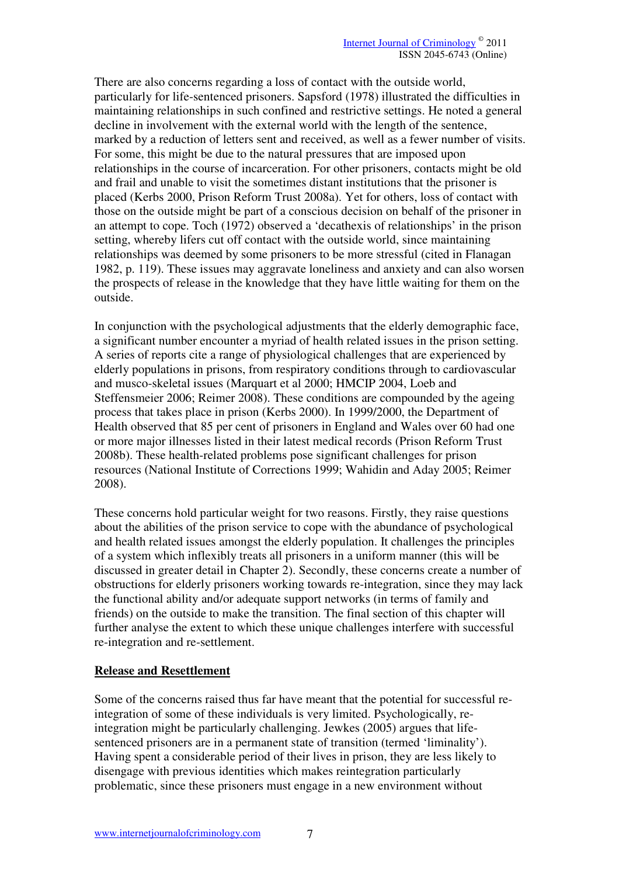There are also concerns regarding a loss of contact with the outside world, particularly for life-sentenced prisoners. Sapsford (1978) illustrated the difficulties in maintaining relationships in such confined and restrictive settings. He noted a general decline in involvement with the external world with the length of the sentence, marked by a reduction of letters sent and received, as well as a fewer number of visits. For some, this might be due to the natural pressures that are imposed upon relationships in the course of incarceration. For other prisoners, contacts might be old and frail and unable to visit the sometimes distant institutions that the prisoner is placed (Kerbs 2000, Prison Reform Trust 2008a). Yet for others, loss of contact with those on the outside might be part of a conscious decision on behalf of the prisoner in an attempt to cope. Toch (1972) observed a 'decathexis of relationships' in the prison setting, whereby lifers cut off contact with the outside world, since maintaining relationships was deemed by some prisoners to be more stressful (cited in Flanagan 1982, p. 119). These issues may aggravate loneliness and anxiety and can also worsen the prospects of release in the knowledge that they have little waiting for them on the outside.

In conjunction with the psychological adjustments that the elderly demographic face, a significant number encounter a myriad of health related issues in the prison setting. A series of reports cite a range of physiological challenges that are experienced by elderly populations in prisons, from respiratory conditions through to cardiovascular and musco-skeletal issues (Marquart et al 2000; HMCIP 2004, Loeb and Steffensmeier 2006; Reimer 2008). These conditions are compounded by the ageing process that takes place in prison (Kerbs 2000). In 1999/2000, the Department of Health observed that 85 per cent of prisoners in England and Wales over 60 had one or more major illnesses listed in their latest medical records (Prison Reform Trust 2008b). These health-related problems pose significant challenges for prison resources (National Institute of Corrections 1999; Wahidin and Aday 2005; Reimer 2008).

These concerns hold particular weight for two reasons. Firstly, they raise questions about the abilities of the prison service to cope with the abundance of psychological and health related issues amongst the elderly population. It challenges the principles of a system which inflexibly treats all prisoners in a uniform manner (this will be discussed in greater detail in Chapter 2). Secondly, these concerns create a number of obstructions for elderly prisoners working towards re-integration, since they may lack the functional ability and/or adequate support networks (in terms of family and friends) on the outside to make the transition. The final section of this chapter will further analyse the extent to which these unique challenges interfere with successful re-integration and re-settlement.

#### **Release and Resettlement**

Some of the concerns raised thus far have meant that the potential for successful reintegration of some of these individuals is very limited. Psychologically, reintegration might be particularly challenging. Jewkes (2005) argues that lifesentenced prisoners are in a permanent state of transition (termed 'liminality'). Having spent a considerable period of their lives in prison, they are less likely to disengage with previous identities which makes reintegration particularly problematic, since these prisoners must engage in a new environment without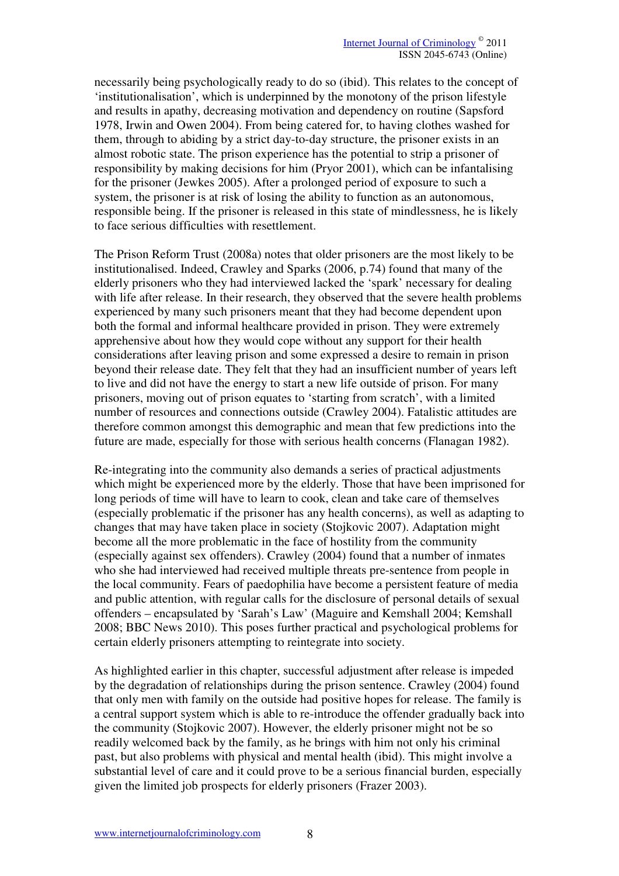necessarily being psychologically ready to do so (ibid). This relates to the concept of 'institutionalisation', which is underpinned by the monotony of the prison lifestyle and results in apathy, decreasing motivation and dependency on routine (Sapsford 1978, Irwin and Owen 2004). From being catered for, to having clothes washed for them, through to abiding by a strict day-to-day structure, the prisoner exists in an almost robotic state. The prison experience has the potential to strip a prisoner of responsibility by making decisions for him (Pryor 2001), which can be infantalising for the prisoner (Jewkes 2005). After a prolonged period of exposure to such a system, the prisoner is at risk of losing the ability to function as an autonomous, responsible being. If the prisoner is released in this state of mindlessness, he is likely to face serious difficulties with resettlement.

The Prison Reform Trust (2008a) notes that older prisoners are the most likely to be institutionalised. Indeed, Crawley and Sparks (2006, p.74) found that many of the elderly prisoners who they had interviewed lacked the 'spark' necessary for dealing with life after release. In their research, they observed that the severe health problems experienced by many such prisoners meant that they had become dependent upon both the formal and informal healthcare provided in prison. They were extremely apprehensive about how they would cope without any support for their health considerations after leaving prison and some expressed a desire to remain in prison beyond their release date. They felt that they had an insufficient number of years left to live and did not have the energy to start a new life outside of prison. For many prisoners, moving out of prison equates to 'starting from scratch', with a limited number of resources and connections outside (Crawley 2004). Fatalistic attitudes are therefore common amongst this demographic and mean that few predictions into the future are made, especially for those with serious health concerns (Flanagan 1982).

Re-integrating into the community also demands a series of practical adjustments which might be experienced more by the elderly. Those that have been imprisoned for long periods of time will have to learn to cook, clean and take care of themselves (especially problematic if the prisoner has any health concerns), as well as adapting to changes that may have taken place in society (Stojkovic 2007). Adaptation might become all the more problematic in the face of hostility from the community (especially against sex offenders). Crawley (2004) found that a number of inmates who she had interviewed had received multiple threats pre-sentence from people in the local community. Fears of paedophilia have become a persistent feature of media and public attention, with regular calls for the disclosure of personal details of sexual offenders – encapsulated by 'Sarah's Law' (Maguire and Kemshall 2004; Kemshall 2008; BBC News 2010). This poses further practical and psychological problems for certain elderly prisoners attempting to reintegrate into society.

As highlighted earlier in this chapter, successful adjustment after release is impeded by the degradation of relationships during the prison sentence. Crawley (2004) found that only men with family on the outside had positive hopes for release. The family is a central support system which is able to re-introduce the offender gradually back into the community (Stojkovic 2007). However, the elderly prisoner might not be so readily welcomed back by the family, as he brings with him not only his criminal past, but also problems with physical and mental health (ibid). This might involve a substantial level of care and it could prove to be a serious financial burden, especially given the limited job prospects for elderly prisoners (Frazer 2003).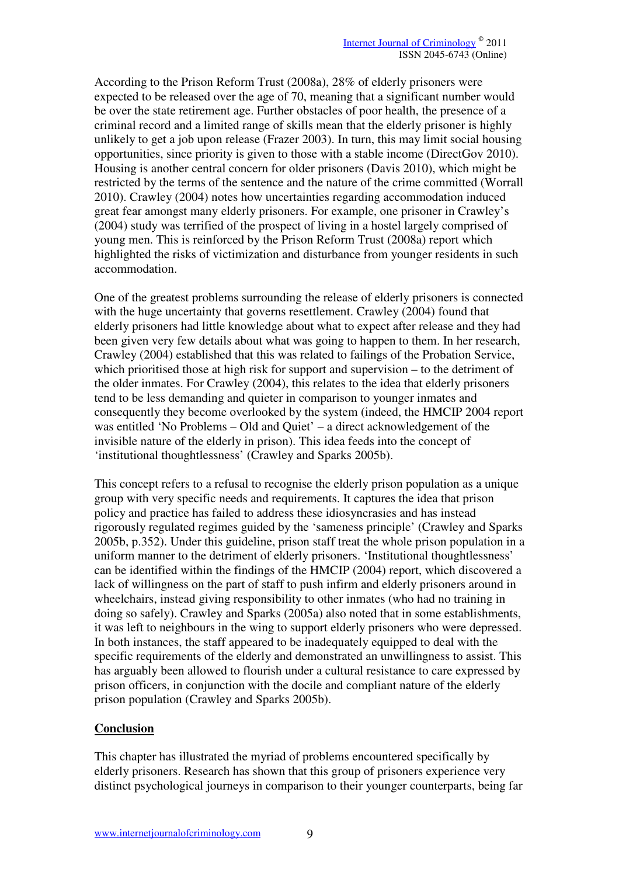According to the Prison Reform Trust (2008a), 28% of elderly prisoners were expected to be released over the age of 70, meaning that a significant number would be over the state retirement age. Further obstacles of poor health, the presence of a criminal record and a limited range of skills mean that the elderly prisoner is highly unlikely to get a job upon release (Frazer 2003). In turn, this may limit social housing opportunities, since priority is given to those with a stable income (DirectGov 2010). Housing is another central concern for older prisoners (Davis 2010), which might be restricted by the terms of the sentence and the nature of the crime committed (Worrall 2010). Crawley (2004) notes how uncertainties regarding accommodation induced great fear amongst many elderly prisoners. For example, one prisoner in Crawley's (2004) study was terrified of the prospect of living in a hostel largely comprised of young men. This is reinforced by the Prison Reform Trust (2008a) report which highlighted the risks of victimization and disturbance from younger residents in such accommodation.

One of the greatest problems surrounding the release of elderly prisoners is connected with the huge uncertainty that governs resettlement. Crawley (2004) found that elderly prisoners had little knowledge about what to expect after release and they had been given very few details about what was going to happen to them. In her research, Crawley (2004) established that this was related to failings of the Probation Service, which prioritised those at high risk for support and supervision – to the detriment of the older inmates. For Crawley (2004), this relates to the idea that elderly prisoners tend to be less demanding and quieter in comparison to younger inmates and consequently they become overlooked by the system (indeed, the HMCIP 2004 report was entitled 'No Problems – Old and Quiet' – a direct acknowledgement of the invisible nature of the elderly in prison). This idea feeds into the concept of 'institutional thoughtlessness' (Crawley and Sparks 2005b).

This concept refers to a refusal to recognise the elderly prison population as a unique group with very specific needs and requirements. It captures the idea that prison policy and practice has failed to address these idiosyncrasies and has instead rigorously regulated regimes guided by the 'sameness principle' (Crawley and Sparks 2005b, p.352). Under this guideline, prison staff treat the whole prison population in a uniform manner to the detriment of elderly prisoners. 'Institutional thoughtlessness' can be identified within the findings of the HMCIP (2004) report, which discovered a lack of willingness on the part of staff to push infirm and elderly prisoners around in wheelchairs, instead giving responsibility to other inmates (who had no training in doing so safely). Crawley and Sparks (2005a) also noted that in some establishments, it was left to neighbours in the wing to support elderly prisoners who were depressed. In both instances, the staff appeared to be inadequately equipped to deal with the specific requirements of the elderly and demonstrated an unwillingness to assist. This has arguably been allowed to flourish under a cultural resistance to care expressed by prison officers, in conjunction with the docile and compliant nature of the elderly prison population (Crawley and Sparks 2005b).

# **Conclusion**

This chapter has illustrated the myriad of problems encountered specifically by elderly prisoners. Research has shown that this group of prisoners experience very distinct psychological journeys in comparison to their younger counterparts, being far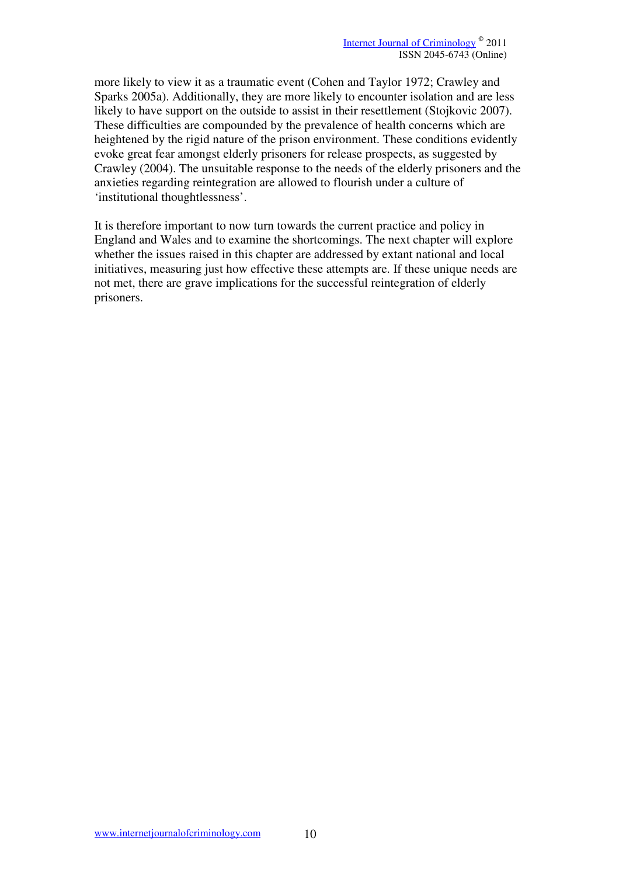more likely to view it as a traumatic event (Cohen and Taylor 1972; Crawley and Sparks 2005a). Additionally, they are more likely to encounter isolation and are less likely to have support on the outside to assist in their resettlement (Stojkovic 2007). These difficulties are compounded by the prevalence of health concerns which are heightened by the rigid nature of the prison environment. These conditions evidently evoke great fear amongst elderly prisoners for release prospects, as suggested by Crawley (2004). The unsuitable response to the needs of the elderly prisoners and the anxieties regarding reintegration are allowed to flourish under a culture of 'institutional thoughtlessness'.

It is therefore important to now turn towards the current practice and policy in England and Wales and to examine the shortcomings. The next chapter will explore whether the issues raised in this chapter are addressed by extant national and local initiatives, measuring just how effective these attempts are. If these unique needs are not met, there are grave implications for the successful reintegration of elderly prisoners.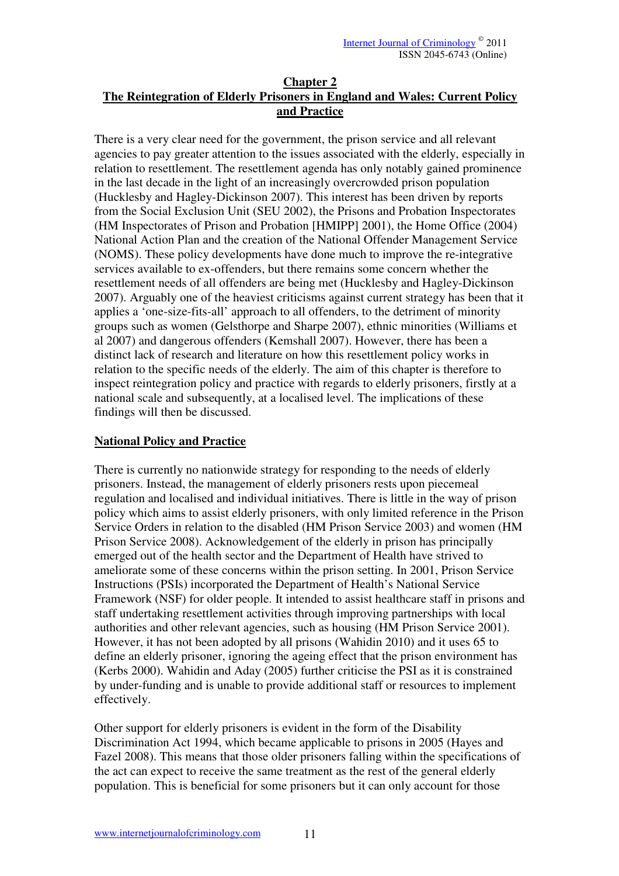### **Chapter 2 The Reintegration of Elderly Prisoners in England and Wales: Current Policy and Practice**

There is a very clear need for the government, the prison service and all relevant agencies to pay greater attention to the issues associated with the elderly, especially in relation to resettlement. The resettlement agenda has only notably gained prominence in the last decade in the light of an increasingly overcrowded prison population (Hucklesby and Hagley-Dickinson 2007). This interest has been driven by reports from the Social Exclusion Unit (SEU 2002), the Prisons and Probation Inspectorates (HM Inspectorates of Prison and Probation [HMIPP] 2001), the Home Office (2004) National Action Plan and the creation of the National Offender Management Service (NOMS). These policy developments have done much to improve the re-integrative services available to ex-offenders, but there remains some concern whether the resettlement needs of all offenders are being met (Hucklesby and Hagley-Dickinson 2007). Arguably one of the heaviest criticisms against current strategy has been that it applies a 'one-size-fits-all' approach to all offenders, to the detriment of minority groups such as women (Gelsthorpe and Sharpe 2007), ethnic minorities (Williams et al 2007) and dangerous offenders (Kemshall 2007). However, there has been a distinct lack of research and literature on how this resettlement policy works in relation to the specific needs of the elderly. The aim of this chapter is therefore to inspect reintegration policy and practice with regards to elderly prisoners, firstly at a national scale and subsequently, at a localised level. The implications of these findings will then be discussed.

# **National Policy and Practice**

There is currently no nationwide strategy for responding to the needs of elderly prisoners. Instead, the management of elderly prisoners rests upon piecemeal regulation and localised and individual initiatives. There is little in the way of prison policy which aims to assist elderly prisoners, with only limited reference in the Prison Service Orders in relation to the disabled (HM Prison Service 2003) and women (HM Prison Service 2008). Acknowledgement of the elderly in prison has principally emerged out of the health sector and the Department of Health have strived to ameliorate some of these concerns within the prison setting. In 2001, Prison Service Instructions (PSIs) incorporated the Department of Health's National Service Framework (NSF) for older people. It intended to assist healthcare staff in prisons and staff undertaking resettlement activities through improving partnerships with local authorities and other relevant agencies, such as housing (HM Prison Service 2001). However, it has not been adopted by all prisons (Wahidin 2010) and it uses 65 to define an elderly prisoner, ignoring the ageing effect that the prison environment has (Kerbs 2000). Wahidin and Aday (2005) further criticise the PSI as it is constrained by under-funding and is unable to provide additional staff or resources to implement effectively.

Other support for elderly prisoners is evident in the form of the Disability Discrimination Act 1994, which became applicable to prisons in 2005 (Hayes and Fazel 2008). This means that those older prisoners falling within the specifications of the act can expect to receive the same treatment as the rest of the general elderly population. This is beneficial for some prisoners but it can only account for those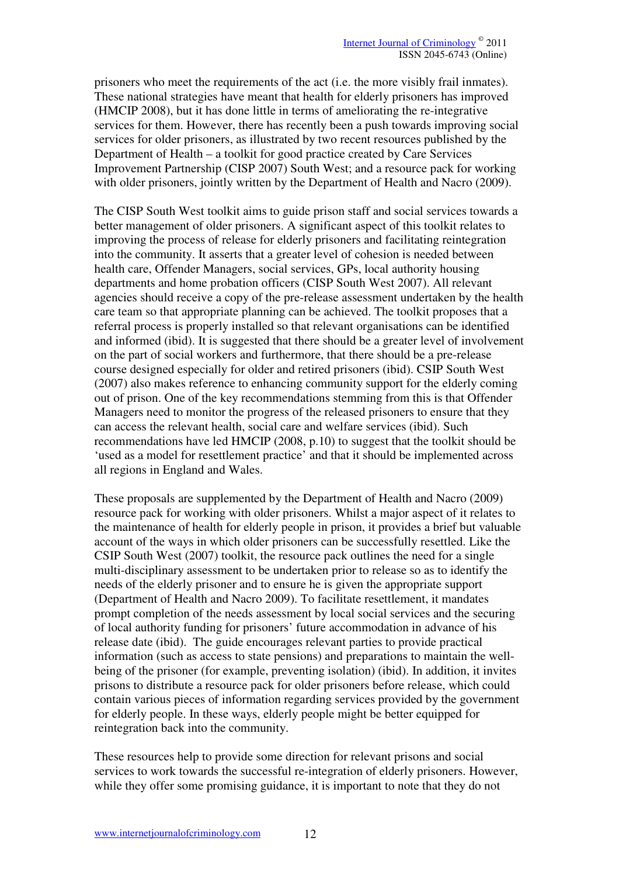prisoners who meet the requirements of the act (i.e. the more visibly frail inmates). These national strategies have meant that health for elderly prisoners has improved (HMCIP 2008), but it has done little in terms of ameliorating the re-integrative services for them. However, there has recently been a push towards improving social services for older prisoners, as illustrated by two recent resources published by the Department of Health – a toolkit for good practice created by Care Services Improvement Partnership (CISP 2007) South West; and a resource pack for working with older prisoners, jointly written by the Department of Health and Nacro (2009).

The CISP South West toolkit aims to guide prison staff and social services towards a better management of older prisoners. A significant aspect of this toolkit relates to improving the process of release for elderly prisoners and facilitating reintegration into the community. It asserts that a greater level of cohesion is needed between health care, Offender Managers, social services, GPs, local authority housing departments and home probation officers (CISP South West 2007). All relevant agencies should receive a copy of the pre-release assessment undertaken by the health care team so that appropriate planning can be achieved. The toolkit proposes that a referral process is properly installed so that relevant organisations can be identified and informed (ibid). It is suggested that there should be a greater level of involvement on the part of social workers and furthermore, that there should be a pre-release course designed especially for older and retired prisoners (ibid). CSIP South West (2007) also makes reference to enhancing community support for the elderly coming out of prison. One of the key recommendations stemming from this is that Offender Managers need to monitor the progress of the released prisoners to ensure that they can access the relevant health, social care and welfare services (ibid). Such recommendations have led HMCIP (2008, p.10) to suggest that the toolkit should be 'used as a model for resettlement practice' and that it should be implemented across all regions in England and Wales.

These proposals are supplemented by the Department of Health and Nacro (2009) resource pack for working with older prisoners. Whilst a major aspect of it relates to the maintenance of health for elderly people in prison, it provides a brief but valuable account of the ways in which older prisoners can be successfully resettled. Like the CSIP South West (2007) toolkit, the resource pack outlines the need for a single multi-disciplinary assessment to be undertaken prior to release so as to identify the needs of the elderly prisoner and to ensure he is given the appropriate support (Department of Health and Nacro 2009). To facilitate resettlement, it mandates prompt completion of the needs assessment by local social services and the securing of local authority funding for prisoners' future accommodation in advance of his release date (ibid). The guide encourages relevant parties to provide practical information (such as access to state pensions) and preparations to maintain the wellbeing of the prisoner (for example, preventing isolation) (ibid). In addition, it invites prisons to distribute a resource pack for older prisoners before release, which could contain various pieces of information regarding services provided by the government for elderly people. In these ways, elderly people might be better equipped for reintegration back into the community.

These resources help to provide some direction for relevant prisons and social services to work towards the successful re-integration of elderly prisoners. However, while they offer some promising guidance, it is important to note that they do not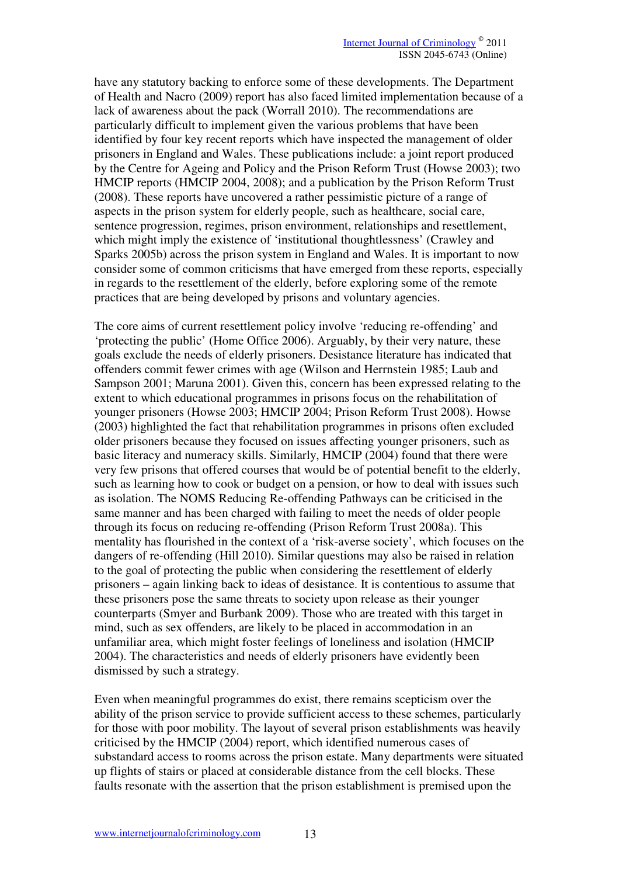have any statutory backing to enforce some of these developments. The Department of Health and Nacro (2009) report has also faced limited implementation because of a lack of awareness about the pack (Worrall 2010). The recommendations are particularly difficult to implement given the various problems that have been identified by four key recent reports which have inspected the management of older prisoners in England and Wales. These publications include: a joint report produced by the Centre for Ageing and Policy and the Prison Reform Trust (Howse 2003); two HMCIP reports (HMCIP 2004, 2008); and a publication by the Prison Reform Trust (2008). These reports have uncovered a rather pessimistic picture of a range of aspects in the prison system for elderly people, such as healthcare, social care, sentence progression, regimes, prison environment, relationships and resettlement, which might imply the existence of 'institutional thoughtlessness' (Crawley and Sparks 2005b) across the prison system in England and Wales. It is important to now consider some of common criticisms that have emerged from these reports, especially in regards to the resettlement of the elderly, before exploring some of the remote practices that are being developed by prisons and voluntary agencies.

The core aims of current resettlement policy involve 'reducing re-offending' and 'protecting the public' (Home Office 2006). Arguably, by their very nature, these goals exclude the needs of elderly prisoners. Desistance literature has indicated that offenders commit fewer crimes with age (Wilson and Herrnstein 1985; Laub and Sampson 2001; Maruna 2001). Given this, concern has been expressed relating to the extent to which educational programmes in prisons focus on the rehabilitation of younger prisoners (Howse 2003; HMCIP 2004; Prison Reform Trust 2008). Howse (2003) highlighted the fact that rehabilitation programmes in prisons often excluded older prisoners because they focused on issues affecting younger prisoners, such as basic literacy and numeracy skills. Similarly, HMCIP (2004) found that there were very few prisons that offered courses that would be of potential benefit to the elderly, such as learning how to cook or budget on a pension, or how to deal with issues such as isolation. The NOMS Reducing Re-offending Pathways can be criticised in the same manner and has been charged with failing to meet the needs of older people through its focus on reducing re-offending (Prison Reform Trust 2008a). This mentality has flourished in the context of a 'risk-averse society', which focuses on the dangers of re-offending (Hill 2010). Similar questions may also be raised in relation to the goal of protecting the public when considering the resettlement of elderly prisoners – again linking back to ideas of desistance. It is contentious to assume that these prisoners pose the same threats to society upon release as their younger counterparts (Smyer and Burbank 2009). Those who are treated with this target in mind, such as sex offenders, are likely to be placed in accommodation in an unfamiliar area, which might foster feelings of loneliness and isolation (HMCIP 2004). The characteristics and needs of elderly prisoners have evidently been dismissed by such a strategy.

Even when meaningful programmes do exist, there remains scepticism over the ability of the prison service to provide sufficient access to these schemes, particularly for those with poor mobility. The layout of several prison establishments was heavily criticised by the HMCIP (2004) report, which identified numerous cases of substandard access to rooms across the prison estate. Many departments were situated up flights of stairs or placed at considerable distance from the cell blocks. These faults resonate with the assertion that the prison establishment is premised upon the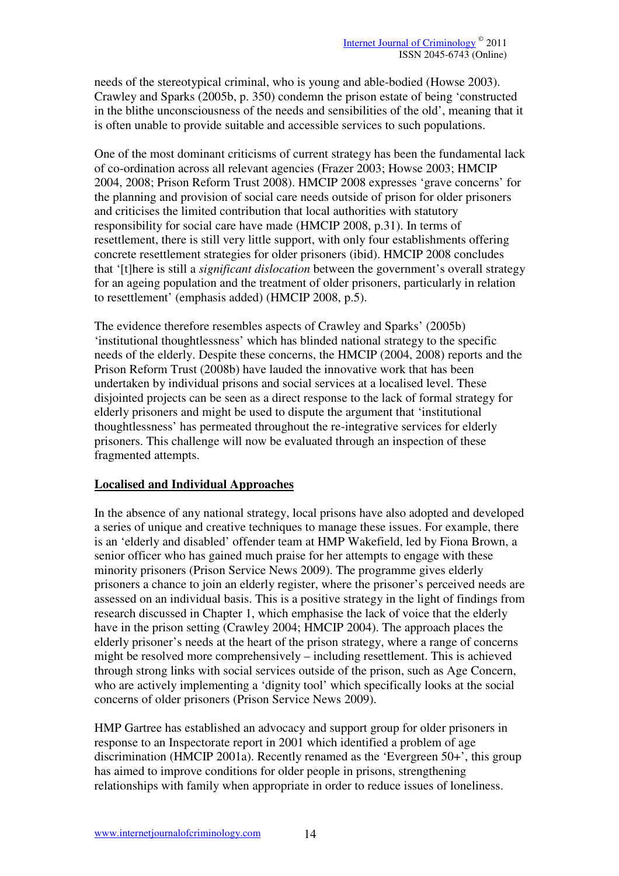needs of the stereotypical criminal, who is young and able-bodied (Howse 2003). Crawley and Sparks (2005b, p. 350) condemn the prison estate of being 'constructed in the blithe unconsciousness of the needs and sensibilities of the old', meaning that it is often unable to provide suitable and accessible services to such populations.

One of the most dominant criticisms of current strategy has been the fundamental lack of co-ordination across all relevant agencies (Frazer 2003; Howse 2003; HMCIP 2004, 2008; Prison Reform Trust 2008). HMCIP 2008 expresses 'grave concerns' for the planning and provision of social care needs outside of prison for older prisoners and criticises the limited contribution that local authorities with statutory responsibility for social care have made (HMCIP 2008, p.31). In terms of resettlement, there is still very little support, with only four establishments offering concrete resettlement strategies for older prisoners (ibid). HMCIP 2008 concludes that '[t]here is still a *significant dislocation* between the government's overall strategy for an ageing population and the treatment of older prisoners, particularly in relation to resettlement' (emphasis added) (HMCIP 2008, p.5).

The evidence therefore resembles aspects of Crawley and Sparks' (2005b) 'institutional thoughtlessness' which has blinded national strategy to the specific needs of the elderly. Despite these concerns, the HMCIP (2004, 2008) reports and the Prison Reform Trust (2008b) have lauded the innovative work that has been undertaken by individual prisons and social services at a localised level. These disjointed projects can be seen as a direct response to the lack of formal strategy for elderly prisoners and might be used to dispute the argument that 'institutional thoughtlessness' has permeated throughout the re-integrative services for elderly prisoners. This challenge will now be evaluated through an inspection of these fragmented attempts.

# **Localised and Individual Approaches**

In the absence of any national strategy, local prisons have also adopted and developed a series of unique and creative techniques to manage these issues. For example, there is an 'elderly and disabled' offender team at HMP Wakefield, led by Fiona Brown, a senior officer who has gained much praise for her attempts to engage with these minority prisoners (Prison Service News 2009). The programme gives elderly prisoners a chance to join an elderly register, where the prisoner's perceived needs are assessed on an individual basis. This is a positive strategy in the light of findings from research discussed in Chapter 1, which emphasise the lack of voice that the elderly have in the prison setting (Crawley 2004; HMCIP 2004). The approach places the elderly prisoner's needs at the heart of the prison strategy, where a range of concerns might be resolved more comprehensively – including resettlement. This is achieved through strong links with social services outside of the prison, such as Age Concern, who are actively implementing a 'dignity tool' which specifically looks at the social concerns of older prisoners (Prison Service News 2009).

HMP Gartree has established an advocacy and support group for older prisoners in response to an Inspectorate report in 2001 which identified a problem of age discrimination (HMCIP 2001a). Recently renamed as the 'Evergreen 50+', this group has aimed to improve conditions for older people in prisons, strengthening relationships with family when appropriate in order to reduce issues of loneliness.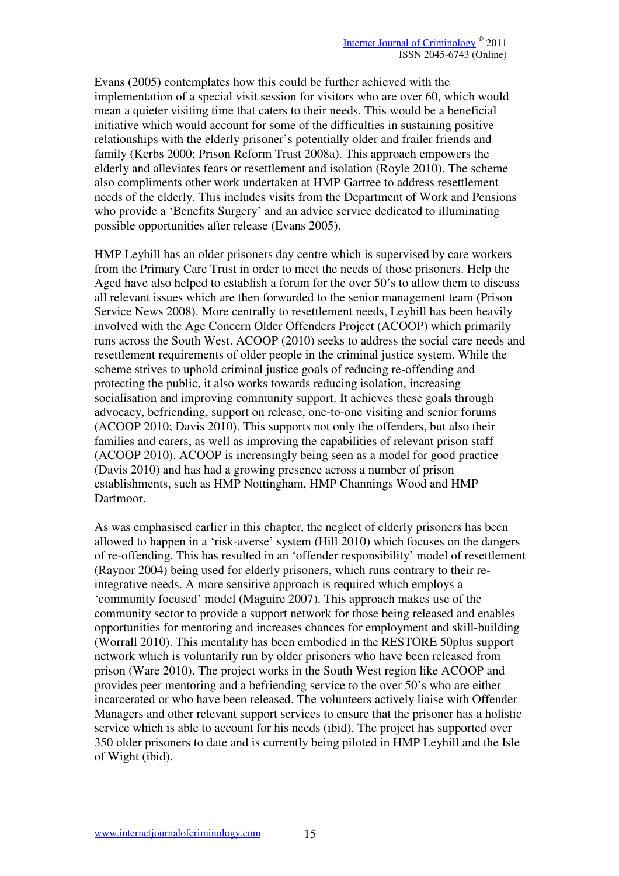Evans (2005) contemplates how this could be further achieved with the implementation of a special visit session for visitors who are over 60, which would mean a quieter visiting time that caters to their needs. This would be a beneficial initiative which would account for some of the difficulties in sustaining positive relationships with the elderly prisoner's potentially older and frailer friends and family (Kerbs 2000; Prison Reform Trust 2008a). This approach empowers the elderly and alleviates fears or resettlement and isolation (Royle 2010). The scheme also compliments other work undertaken at HMP Gartree to address resettlement needs of the elderly. This includes visits from the Department of Work and Pensions who provide a 'Benefits Surgery' and an advice service dedicated to illuminating possible opportunities after release (Evans 2005).

HMP Leyhill has an older prisoners day centre which is supervised by care workers from the Primary Care Trust in order to meet the needs of those prisoners. Help the Aged have also helped to establish a forum for the over 50's to allow them to discuss all relevant issues which are then forwarded to the senior management team (Prison Service News 2008). More centrally to resettlement needs, Leyhill has been heavily involved with the Age Concern Older Offenders Project (ACOOP) which primarily runs across the South West. ACOOP (2010) seeks to address the social care needs and resettlement requirements of older people in the criminal justice system. While the scheme strives to uphold criminal justice goals of reducing re-offending and protecting the public, it also works towards reducing isolation, increasing socialisation and improving community support. It achieves these goals through advocacy, befriending, support on release, one-to-one visiting and senior forums (ACOOP 2010; Davis 2010). This supports not only the offenders, but also their families and carers, as well as improving the capabilities of relevant prison staff (ACOOP 2010). ACOOP is increasingly being seen as a model for good practice (Davis 2010) and has had a growing presence across a number of prison establishments, such as HMP Nottingham, HMP Channings Wood and HMP Dartmoor.

As was emphasised earlier in this chapter, the neglect of elderly prisoners has been allowed to happen in a 'risk-averse' system (Hill 2010) which focuses on the dangers of re-offending. This has resulted in an 'offender responsibility' model of resettlement (Raynor 2004) being used for elderly prisoners, which runs contrary to their reintegrative needs. A more sensitive approach is required which employs a 'community focused' model (Maguire 2007). This approach makes use of the community sector to provide a support network for those being released and enables opportunities for mentoring and increases chances for employment and skill-building (Worrall 2010). This mentality has been embodied in the RESTORE 50plus support network which is voluntarily run by older prisoners who have been released from prison (Ware 2010). The project works in the South West region like ACOOP and provides peer mentoring and a befriending service to the over 50's who are either incarcerated or who have been released. The volunteers actively liaise with Offender Managers and other relevant support services to ensure that the prisoner has a holistic service which is able to account for his needs (ibid). The project has supported over 350 older prisoners to date and is currently being piloted in HMP Leyhill and the Isle of Wight (ibid).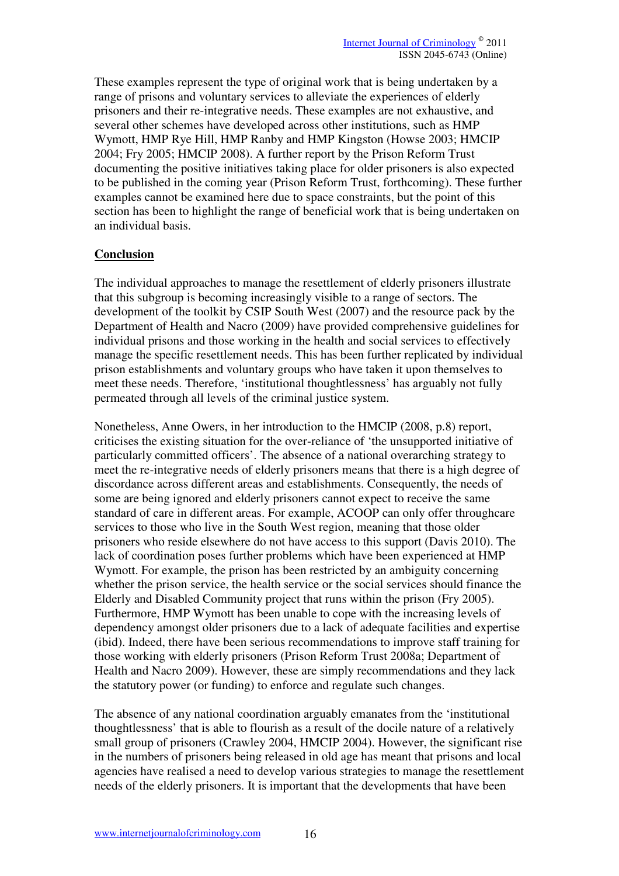These examples represent the type of original work that is being undertaken by a range of prisons and voluntary services to alleviate the experiences of elderly prisoners and their re-integrative needs. These examples are not exhaustive, and several other schemes have developed across other institutions, such as HMP Wymott, HMP Rye Hill, HMP Ranby and HMP Kingston (Howse 2003; HMCIP 2004; Fry 2005; HMCIP 2008). A further report by the Prison Reform Trust documenting the positive initiatives taking place for older prisoners is also expected to be published in the coming year (Prison Reform Trust, forthcoming). These further examples cannot be examined here due to space constraints, but the point of this section has been to highlight the range of beneficial work that is being undertaken on an individual basis.

# **Conclusion**

The individual approaches to manage the resettlement of elderly prisoners illustrate that this subgroup is becoming increasingly visible to a range of sectors. The development of the toolkit by CSIP South West (2007) and the resource pack by the Department of Health and Nacro (2009) have provided comprehensive guidelines for individual prisons and those working in the health and social services to effectively manage the specific resettlement needs. This has been further replicated by individual prison establishments and voluntary groups who have taken it upon themselves to meet these needs. Therefore, 'institutional thoughtlessness' has arguably not fully permeated through all levels of the criminal justice system.

Nonetheless, Anne Owers, in her introduction to the HMCIP (2008, p.8) report, criticises the existing situation for the over-reliance of 'the unsupported initiative of particularly committed officers'. The absence of a national overarching strategy to meet the re-integrative needs of elderly prisoners means that there is a high degree of discordance across different areas and establishments. Consequently, the needs of some are being ignored and elderly prisoners cannot expect to receive the same standard of care in different areas. For example, ACOOP can only offer throughcare services to those who live in the South West region, meaning that those older prisoners who reside elsewhere do not have access to this support (Davis 2010). The lack of coordination poses further problems which have been experienced at HMP Wymott. For example, the prison has been restricted by an ambiguity concerning whether the prison service, the health service or the social services should finance the Elderly and Disabled Community project that runs within the prison (Fry 2005). Furthermore, HMP Wymott has been unable to cope with the increasing levels of dependency amongst older prisoners due to a lack of adequate facilities and expertise (ibid). Indeed, there have been serious recommendations to improve staff training for those working with elderly prisoners (Prison Reform Trust 2008a; Department of Health and Nacro 2009). However, these are simply recommendations and they lack the statutory power (or funding) to enforce and regulate such changes.

The absence of any national coordination arguably emanates from the 'institutional thoughtlessness' that is able to flourish as a result of the docile nature of a relatively small group of prisoners (Crawley 2004, HMCIP 2004). However, the significant rise in the numbers of prisoners being released in old age has meant that prisons and local agencies have realised a need to develop various strategies to manage the resettlement needs of the elderly prisoners. It is important that the developments that have been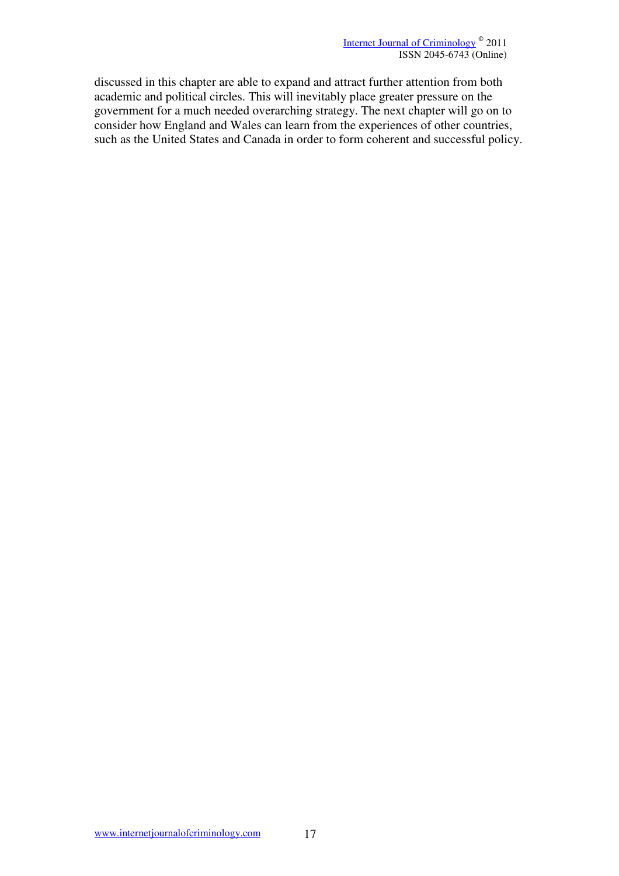discussed in this chapter are able to expand and attract further attention from both academic and political circles. This will inevitably place greater pressure on the government for a much needed overarching strategy. The next chapter will go on to consider how England and Wales can learn from the experiences of other countries, such as the United States and Canada in order to form coherent and successful policy.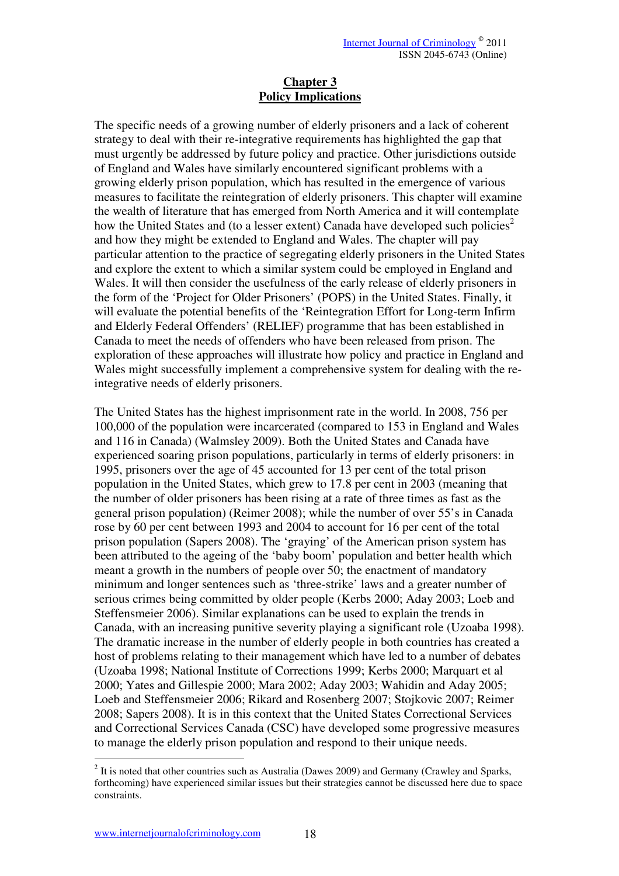#### **Chapter 3 Policy Implications**

The specific needs of a growing number of elderly prisoners and a lack of coherent strategy to deal with their re-integrative requirements has highlighted the gap that must urgently be addressed by future policy and practice. Other jurisdictions outside of England and Wales have similarly encountered significant problems with a growing elderly prison population, which has resulted in the emergence of various measures to facilitate the reintegration of elderly prisoners. This chapter will examine the wealth of literature that has emerged from North America and it will contemplate how the United States and (to a lesser extent) Canada have developed such policies<sup>2</sup> and how they might be extended to England and Wales. The chapter will pay particular attention to the practice of segregating elderly prisoners in the United States and explore the extent to which a similar system could be employed in England and Wales. It will then consider the usefulness of the early release of elderly prisoners in the form of the 'Project for Older Prisoners' (POPS) in the United States. Finally, it will evaluate the potential benefits of the 'Reintegration Effort for Long-term Infirm and Elderly Federal Offenders' (RELIEF) programme that has been established in Canada to meet the needs of offenders who have been released from prison. The exploration of these approaches will illustrate how policy and practice in England and Wales might successfully implement a comprehensive system for dealing with the reintegrative needs of elderly prisoners.

The United States has the highest imprisonment rate in the world. In 2008, 756 per 100,000 of the population were incarcerated (compared to 153 in England and Wales and 116 in Canada) (Walmsley 2009). Both the United States and Canada have experienced soaring prison populations, particularly in terms of elderly prisoners: in 1995, prisoners over the age of 45 accounted for 13 per cent of the total prison population in the United States, which grew to 17.8 per cent in 2003 (meaning that the number of older prisoners has been rising at a rate of three times as fast as the general prison population) (Reimer 2008); while the number of over 55's in Canada rose by 60 per cent between 1993 and 2004 to account for 16 per cent of the total prison population (Sapers 2008). The 'graying' of the American prison system has been attributed to the ageing of the 'baby boom' population and better health which meant a growth in the numbers of people over 50; the enactment of mandatory minimum and longer sentences such as 'three-strike' laws and a greater number of serious crimes being committed by older people (Kerbs 2000; Aday 2003; Loeb and Steffensmeier 2006). Similar explanations can be used to explain the trends in Canada, with an increasing punitive severity playing a significant role (Uzoaba 1998). The dramatic increase in the number of elderly people in both countries has created a host of problems relating to their management which have led to a number of debates (Uzoaba 1998; National Institute of Corrections 1999; Kerbs 2000; Marquart et al 2000; Yates and Gillespie 2000; Mara 2002; Aday 2003; Wahidin and Aday 2005; Loeb and Steffensmeier 2006; Rikard and Rosenberg 2007; Stojkovic 2007; Reimer 2008; Sapers 2008). It is in this context that the United States Correctional Services and Correctional Services Canada (CSC) have developed some progressive measures to manage the elderly prison population and respond to their unique needs.

1

 $2$  It is noted that other countries such as Australia (Dawes 2009) and Germany (Crawley and Sparks, forthcoming) have experienced similar issues but their strategies cannot be discussed here due to space constraints.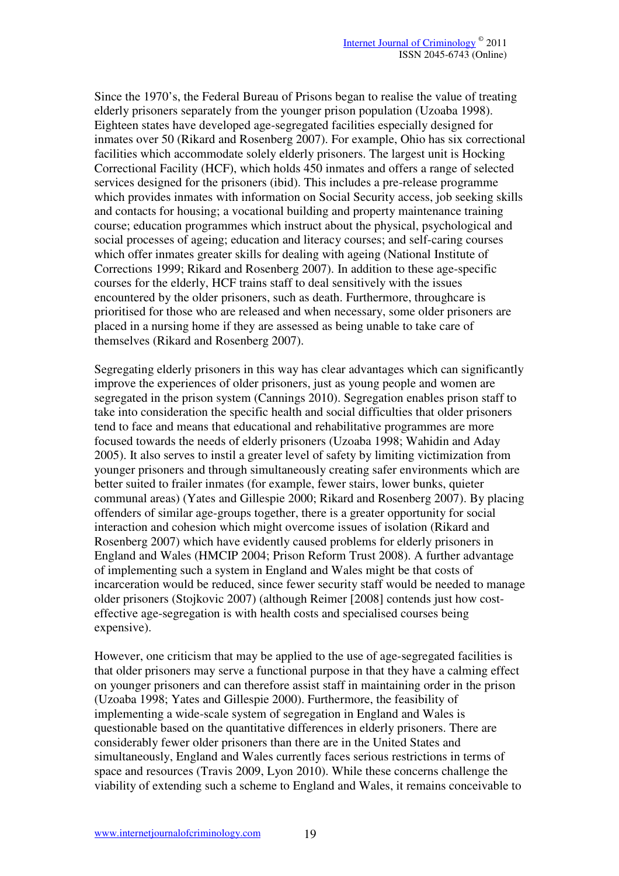Since the 1970's, the Federal Bureau of Prisons began to realise the value of treating elderly prisoners separately from the younger prison population (Uzoaba 1998). Eighteen states have developed age-segregated facilities especially designed for inmates over 50 (Rikard and Rosenberg 2007). For example, Ohio has six correctional facilities which accommodate solely elderly prisoners. The largest unit is Hocking Correctional Facility (HCF), which holds 450 inmates and offers a range of selected services designed for the prisoners (ibid). This includes a pre-release programme which provides inmates with information on Social Security access, job seeking skills and contacts for housing; a vocational building and property maintenance training course; education programmes which instruct about the physical, psychological and social processes of ageing; education and literacy courses; and self-caring courses which offer inmates greater skills for dealing with ageing (National Institute of Corrections 1999; Rikard and Rosenberg 2007). In addition to these age-specific courses for the elderly, HCF trains staff to deal sensitively with the issues encountered by the older prisoners, such as death. Furthermore, throughcare is prioritised for those who are released and when necessary, some older prisoners are placed in a nursing home if they are assessed as being unable to take care of themselves (Rikard and Rosenberg 2007).

Segregating elderly prisoners in this way has clear advantages which can significantly improve the experiences of older prisoners, just as young people and women are segregated in the prison system (Cannings 2010). Segregation enables prison staff to take into consideration the specific health and social difficulties that older prisoners tend to face and means that educational and rehabilitative programmes are more focused towards the needs of elderly prisoners (Uzoaba 1998; Wahidin and Aday 2005). It also serves to instil a greater level of safety by limiting victimization from younger prisoners and through simultaneously creating safer environments which are better suited to frailer inmates (for example, fewer stairs, lower bunks, quieter communal areas) (Yates and Gillespie 2000; Rikard and Rosenberg 2007). By placing offenders of similar age-groups together, there is a greater opportunity for social interaction and cohesion which might overcome issues of isolation (Rikard and Rosenberg 2007) which have evidently caused problems for elderly prisoners in England and Wales (HMCIP 2004; Prison Reform Trust 2008). A further advantage of implementing such a system in England and Wales might be that costs of incarceration would be reduced, since fewer security staff would be needed to manage older prisoners (Stojkovic 2007) (although Reimer [2008] contends just how costeffective age-segregation is with health costs and specialised courses being expensive).

However, one criticism that may be applied to the use of age-segregated facilities is that older prisoners may serve a functional purpose in that they have a calming effect on younger prisoners and can therefore assist staff in maintaining order in the prison (Uzoaba 1998; Yates and Gillespie 2000). Furthermore, the feasibility of implementing a wide-scale system of segregation in England and Wales is questionable based on the quantitative differences in elderly prisoners. There are considerably fewer older prisoners than there are in the United States and simultaneously, England and Wales currently faces serious restrictions in terms of space and resources (Travis 2009, Lyon 2010). While these concerns challenge the viability of extending such a scheme to England and Wales, it remains conceivable to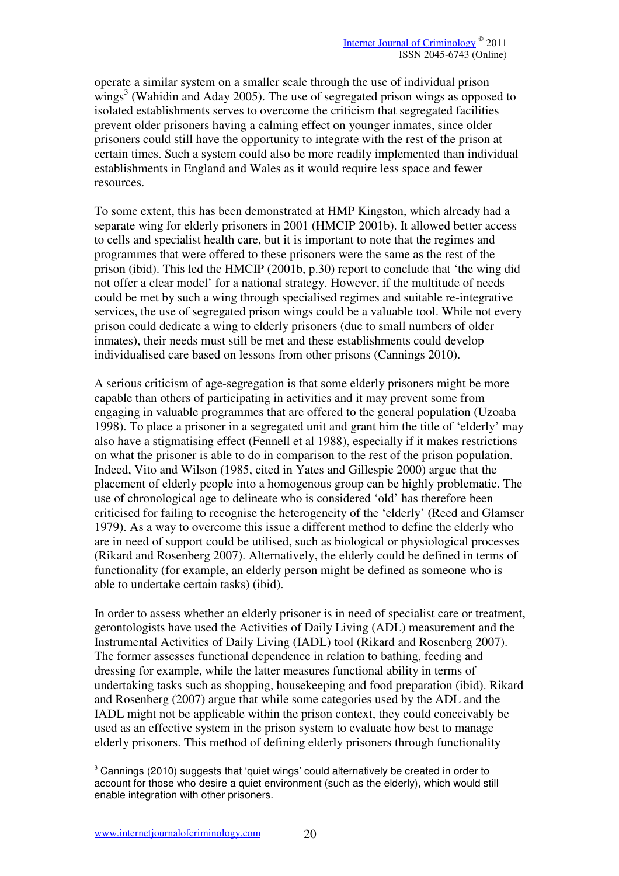operate a similar system on a smaller scale through the use of individual prison  $\text{wings}^3$  (Wahidin and Aday 2005). The use of segregated prison wings as opposed to isolated establishments serves to overcome the criticism that segregated facilities prevent older prisoners having a calming effect on younger inmates, since older prisoners could still have the opportunity to integrate with the rest of the prison at certain times. Such a system could also be more readily implemented than individual establishments in England and Wales as it would require less space and fewer resources.

To some extent, this has been demonstrated at HMP Kingston, which already had a separate wing for elderly prisoners in 2001 (HMCIP 2001b). It allowed better access to cells and specialist health care, but it is important to note that the regimes and programmes that were offered to these prisoners were the same as the rest of the prison (ibid). This led the HMCIP (2001b, p.30) report to conclude that 'the wing did not offer a clear model' for a national strategy. However, if the multitude of needs could be met by such a wing through specialised regimes and suitable re-integrative services, the use of segregated prison wings could be a valuable tool. While not every prison could dedicate a wing to elderly prisoners (due to small numbers of older inmates), their needs must still be met and these establishments could develop individualised care based on lessons from other prisons (Cannings 2010).

A serious criticism of age-segregation is that some elderly prisoners might be more capable than others of participating in activities and it may prevent some from engaging in valuable programmes that are offered to the general population (Uzoaba 1998). To place a prisoner in a segregated unit and grant him the title of 'elderly' may also have a stigmatising effect (Fennell et al 1988), especially if it makes restrictions on what the prisoner is able to do in comparison to the rest of the prison population. Indeed, Vito and Wilson (1985, cited in Yates and Gillespie 2000) argue that the placement of elderly people into a homogenous group can be highly problematic. The use of chronological age to delineate who is considered 'old' has therefore been criticised for failing to recognise the heterogeneity of the 'elderly' (Reed and Glamser 1979). As a way to overcome this issue a different method to define the elderly who are in need of support could be utilised, such as biological or physiological processes (Rikard and Rosenberg 2007). Alternatively, the elderly could be defined in terms of functionality (for example, an elderly person might be defined as someone who is able to undertake certain tasks) (ibid).

In order to assess whether an elderly prisoner is in need of specialist care or treatment, gerontologists have used the Activities of Daily Living (ADL) measurement and the Instrumental Activities of Daily Living (IADL) tool (Rikard and Rosenberg 2007). The former assesses functional dependence in relation to bathing, feeding and dressing for example, while the latter measures functional ability in terms of undertaking tasks such as shopping, housekeeping and food preparation (ibid). Rikard and Rosenberg (2007) argue that while some categories used by the ADL and the IADL might not be applicable within the prison context, they could conceivably be used as an effective system in the prison system to evaluate how best to manage elderly prisoners. This method of defining elderly prisoners through functionality

1

 $3$  Cannings (2010) suggests that 'quiet wings' could alternatively be created in order to account for those who desire a quiet environment (such as the elderly), which would still enable integration with other prisoners.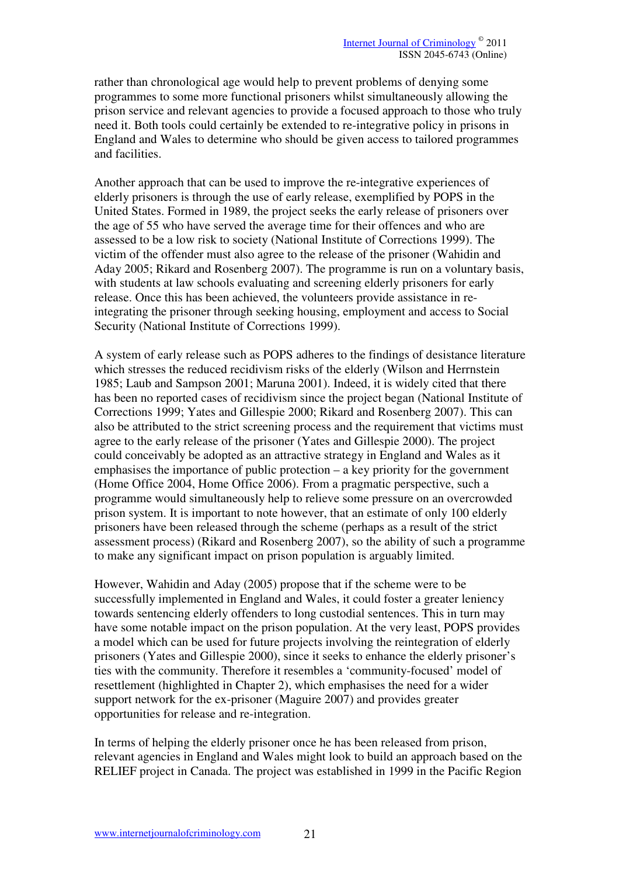rather than chronological age would help to prevent problems of denying some programmes to some more functional prisoners whilst simultaneously allowing the prison service and relevant agencies to provide a focused approach to those who truly need it. Both tools could certainly be extended to re-integrative policy in prisons in England and Wales to determine who should be given access to tailored programmes and facilities.

Another approach that can be used to improve the re-integrative experiences of elderly prisoners is through the use of early release, exemplified by POPS in the United States. Formed in 1989, the project seeks the early release of prisoners over the age of 55 who have served the average time for their offences and who are assessed to be a low risk to society (National Institute of Corrections 1999). The victim of the offender must also agree to the release of the prisoner (Wahidin and Aday 2005; Rikard and Rosenberg 2007). The programme is run on a voluntary basis, with students at law schools evaluating and screening elderly prisoners for early release. Once this has been achieved, the volunteers provide assistance in reintegrating the prisoner through seeking housing, employment and access to Social Security (National Institute of Corrections 1999).

A system of early release such as POPS adheres to the findings of desistance literature which stresses the reduced recidivism risks of the elderly (Wilson and Herrnstein 1985; Laub and Sampson 2001; Maruna 2001). Indeed, it is widely cited that there has been no reported cases of recidivism since the project began (National Institute of Corrections 1999; Yates and Gillespie 2000; Rikard and Rosenberg 2007). This can also be attributed to the strict screening process and the requirement that victims must agree to the early release of the prisoner (Yates and Gillespie 2000). The project could conceivably be adopted as an attractive strategy in England and Wales as it emphasises the importance of public protection – a key priority for the government (Home Office 2004, Home Office 2006). From a pragmatic perspective, such a programme would simultaneously help to relieve some pressure on an overcrowded prison system. It is important to note however, that an estimate of only 100 elderly prisoners have been released through the scheme (perhaps as a result of the strict assessment process) (Rikard and Rosenberg 2007), so the ability of such a programme to make any significant impact on prison population is arguably limited.

However, Wahidin and Aday (2005) propose that if the scheme were to be successfully implemented in England and Wales, it could foster a greater leniency towards sentencing elderly offenders to long custodial sentences. This in turn may have some notable impact on the prison population. At the very least, POPS provides a model which can be used for future projects involving the reintegration of elderly prisoners (Yates and Gillespie 2000), since it seeks to enhance the elderly prisoner's ties with the community. Therefore it resembles a 'community-focused' model of resettlement (highlighted in Chapter 2), which emphasises the need for a wider support network for the ex-prisoner (Maguire 2007) and provides greater opportunities for release and re-integration.

In terms of helping the elderly prisoner once he has been released from prison, relevant agencies in England and Wales might look to build an approach based on the RELIEF project in Canada. The project was established in 1999 in the Pacific Region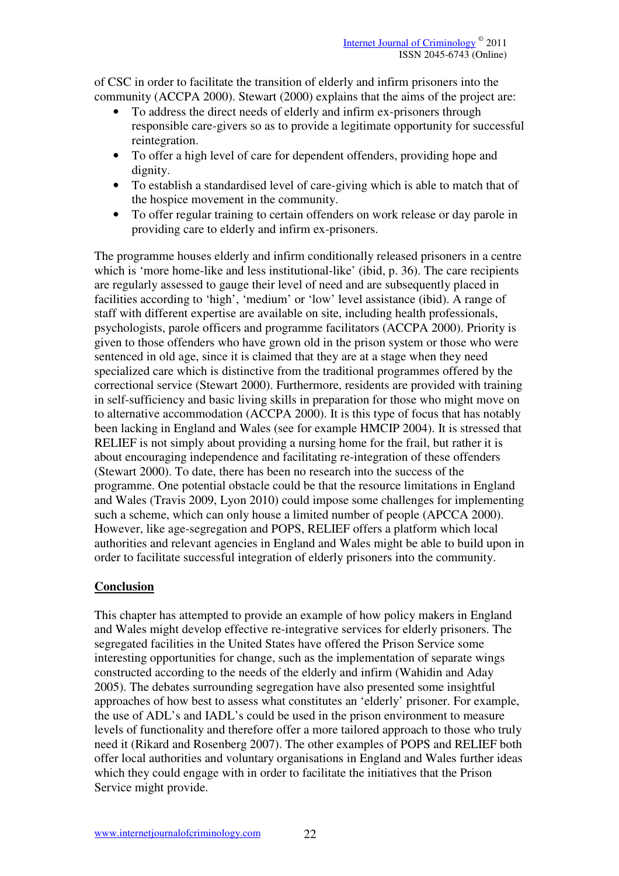of CSC in order to facilitate the transition of elderly and infirm prisoners into the community (ACCPA 2000). Stewart (2000) explains that the aims of the project are:

- To address the direct needs of elderly and infirm ex-prisoners through responsible care-givers so as to provide a legitimate opportunity for successful reintegration.
- To offer a high level of care for dependent offenders, providing hope and dignity.
- To establish a standardised level of care-giving which is able to match that of the hospice movement in the community.
- To offer regular training to certain offenders on work release or day parole in providing care to elderly and infirm ex-prisoners.

The programme houses elderly and infirm conditionally released prisoners in a centre which is 'more home-like and less institutional-like' (ibid, p. 36). The care recipients are regularly assessed to gauge their level of need and are subsequently placed in facilities according to 'high', 'medium' or 'low' level assistance (ibid). A range of staff with different expertise are available on site, including health professionals, psychologists, parole officers and programme facilitators (ACCPA 2000). Priority is given to those offenders who have grown old in the prison system or those who were sentenced in old age, since it is claimed that they are at a stage when they need specialized care which is distinctive from the traditional programmes offered by the correctional service (Stewart 2000). Furthermore, residents are provided with training in self-sufficiency and basic living skills in preparation for those who might move on to alternative accommodation (ACCPA 2000). It is this type of focus that has notably been lacking in England and Wales (see for example HMCIP 2004). It is stressed that RELIEF is not simply about providing a nursing home for the frail, but rather it is about encouraging independence and facilitating re-integration of these offenders (Stewart 2000). To date, there has been no research into the success of the programme. One potential obstacle could be that the resource limitations in England and Wales (Travis 2009, Lyon 2010) could impose some challenges for implementing such a scheme, which can only house a limited number of people (APCCA 2000). However, like age-segregation and POPS, RELIEF offers a platform which local authorities and relevant agencies in England and Wales might be able to build upon in order to facilitate successful integration of elderly prisoners into the community.

# **Conclusion**

This chapter has attempted to provide an example of how policy makers in England and Wales might develop effective re-integrative services for elderly prisoners. The segregated facilities in the United States have offered the Prison Service some interesting opportunities for change, such as the implementation of separate wings constructed according to the needs of the elderly and infirm (Wahidin and Aday 2005). The debates surrounding segregation have also presented some insightful approaches of how best to assess what constitutes an 'elderly' prisoner. For example, the use of ADL's and IADL's could be used in the prison environment to measure levels of functionality and therefore offer a more tailored approach to those who truly need it (Rikard and Rosenberg 2007). The other examples of POPS and RELIEF both offer local authorities and voluntary organisations in England and Wales further ideas which they could engage with in order to facilitate the initiatives that the Prison Service might provide.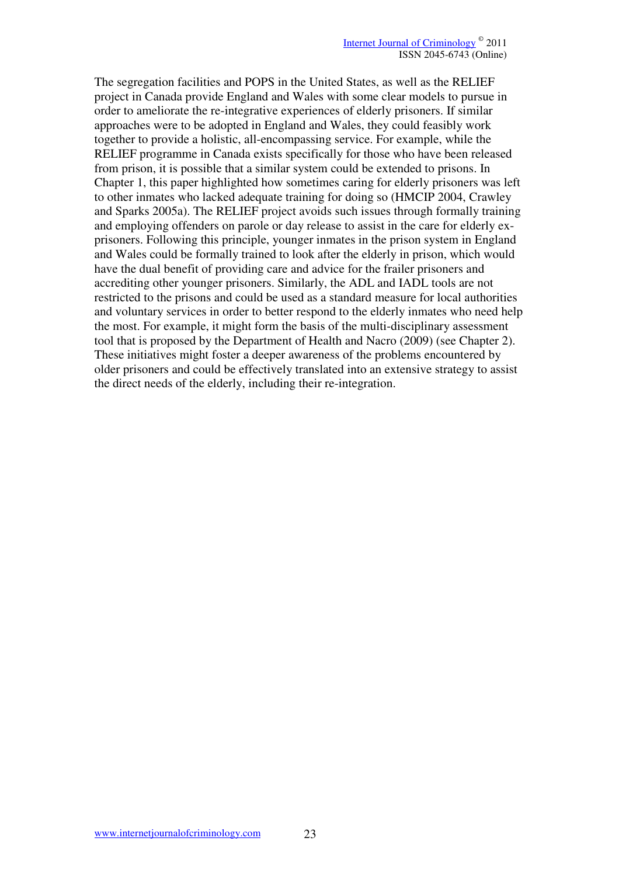The segregation facilities and POPS in the United States, as well as the RELIEF project in Canada provide England and Wales with some clear models to pursue in order to ameliorate the re-integrative experiences of elderly prisoners. If similar approaches were to be adopted in England and Wales, they could feasibly work together to provide a holistic, all-encompassing service. For example, while the RELIEF programme in Canada exists specifically for those who have been released from prison, it is possible that a similar system could be extended to prisons. In Chapter 1, this paper highlighted how sometimes caring for elderly prisoners was left to other inmates who lacked adequate training for doing so (HMCIP 2004, Crawley and Sparks 2005a). The RELIEF project avoids such issues through formally training and employing offenders on parole or day release to assist in the care for elderly exprisoners. Following this principle, younger inmates in the prison system in England and Wales could be formally trained to look after the elderly in prison, which would have the dual benefit of providing care and advice for the frailer prisoners and accrediting other younger prisoners. Similarly, the ADL and IADL tools are not restricted to the prisons and could be used as a standard measure for local authorities and voluntary services in order to better respond to the elderly inmates who need help the most. For example, it might form the basis of the multi-disciplinary assessment tool that is proposed by the Department of Health and Nacro (2009) (see Chapter 2). These initiatives might foster a deeper awareness of the problems encountered by older prisoners and could be effectively translated into an extensive strategy to assist the direct needs of the elderly, including their re-integration.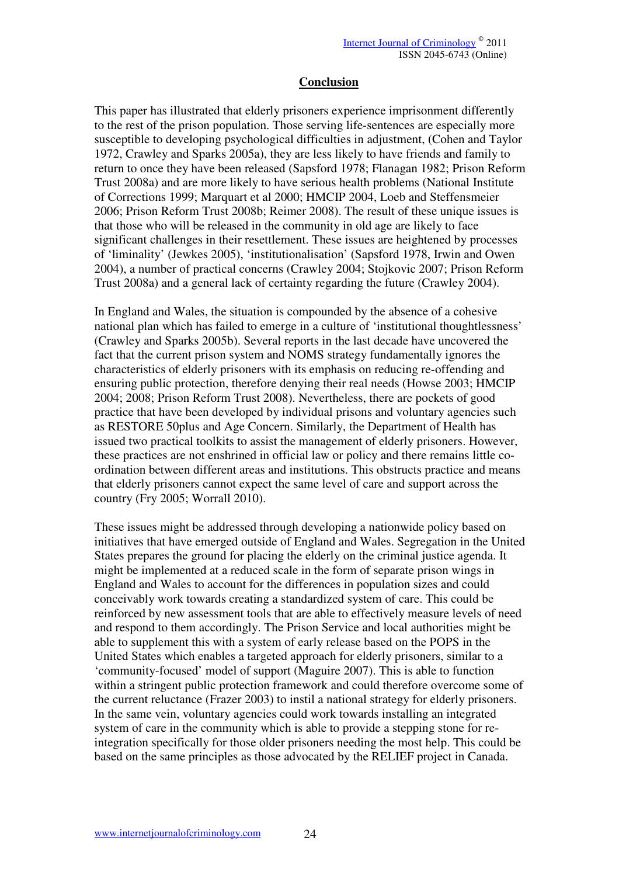#### **Conclusion**

This paper has illustrated that elderly prisoners experience imprisonment differently to the rest of the prison population. Those serving life-sentences are especially more susceptible to developing psychological difficulties in adjustment, (Cohen and Taylor 1972, Crawley and Sparks 2005a), they are less likely to have friends and family to return to once they have been released (Sapsford 1978; Flanagan 1982; Prison Reform Trust 2008a) and are more likely to have serious health problems (National Institute of Corrections 1999; Marquart et al 2000; HMCIP 2004, Loeb and Steffensmeier 2006; Prison Reform Trust 2008b; Reimer 2008). The result of these unique issues is that those who will be released in the community in old age are likely to face significant challenges in their resettlement. These issues are heightened by processes of 'liminality' (Jewkes 2005), 'institutionalisation' (Sapsford 1978, Irwin and Owen 2004), a number of practical concerns (Crawley 2004; Stojkovic 2007; Prison Reform Trust 2008a) and a general lack of certainty regarding the future (Crawley 2004).

In England and Wales, the situation is compounded by the absence of a cohesive national plan which has failed to emerge in a culture of 'institutional thoughtlessness' (Crawley and Sparks 2005b). Several reports in the last decade have uncovered the fact that the current prison system and NOMS strategy fundamentally ignores the characteristics of elderly prisoners with its emphasis on reducing re-offending and ensuring public protection, therefore denying their real needs (Howse 2003; HMCIP 2004; 2008; Prison Reform Trust 2008). Nevertheless, there are pockets of good practice that have been developed by individual prisons and voluntary agencies such as RESTORE 50plus and Age Concern. Similarly, the Department of Health has issued two practical toolkits to assist the management of elderly prisoners. However, these practices are not enshrined in official law or policy and there remains little coordination between different areas and institutions. This obstructs practice and means that elderly prisoners cannot expect the same level of care and support across the country (Fry 2005; Worrall 2010).

These issues might be addressed through developing a nationwide policy based on initiatives that have emerged outside of England and Wales. Segregation in the United States prepares the ground for placing the elderly on the criminal justice agenda. It might be implemented at a reduced scale in the form of separate prison wings in England and Wales to account for the differences in population sizes and could conceivably work towards creating a standardized system of care. This could be reinforced by new assessment tools that are able to effectively measure levels of need and respond to them accordingly. The Prison Service and local authorities might be able to supplement this with a system of early release based on the POPS in the United States which enables a targeted approach for elderly prisoners, similar to a 'community-focused' model of support (Maguire 2007). This is able to function within a stringent public protection framework and could therefore overcome some of the current reluctance (Frazer 2003) to instil a national strategy for elderly prisoners. In the same vein, voluntary agencies could work towards installing an integrated system of care in the community which is able to provide a stepping stone for reintegration specifically for those older prisoners needing the most help. This could be based on the same principles as those advocated by the RELIEF project in Canada.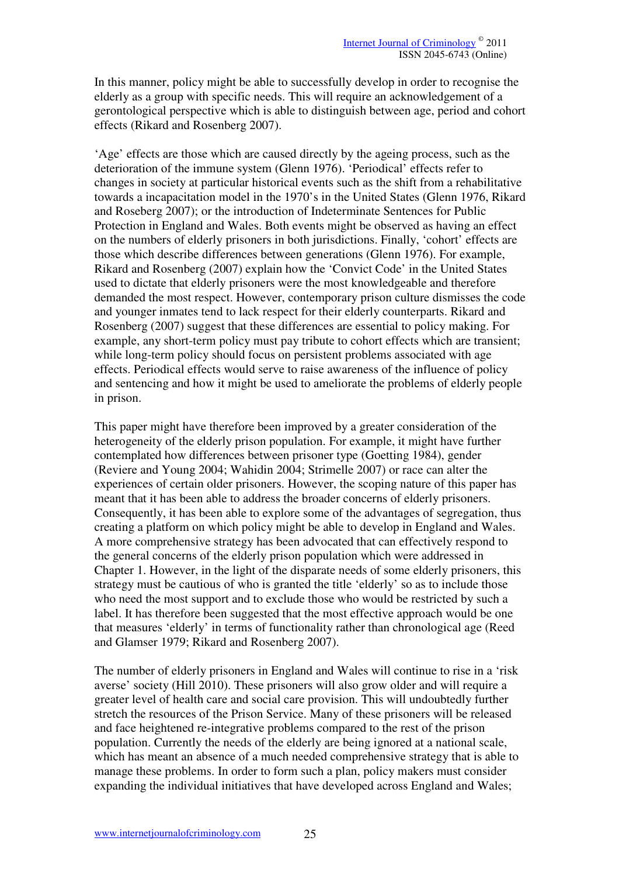In this manner, policy might be able to successfully develop in order to recognise the elderly as a group with specific needs. This will require an acknowledgement of a gerontological perspective which is able to distinguish between age, period and cohort effects (Rikard and Rosenberg 2007).

'Age' effects are those which are caused directly by the ageing process, such as the deterioration of the immune system (Glenn 1976). 'Periodical' effects refer to changes in society at particular historical events such as the shift from a rehabilitative towards a incapacitation model in the 1970's in the United States (Glenn 1976, Rikard and Roseberg 2007); or the introduction of Indeterminate Sentences for Public Protection in England and Wales. Both events might be observed as having an effect on the numbers of elderly prisoners in both jurisdictions. Finally, 'cohort' effects are those which describe differences between generations (Glenn 1976). For example, Rikard and Rosenberg (2007) explain how the 'Convict Code' in the United States used to dictate that elderly prisoners were the most knowledgeable and therefore demanded the most respect. However, contemporary prison culture dismisses the code and younger inmates tend to lack respect for their elderly counterparts. Rikard and Rosenberg (2007) suggest that these differences are essential to policy making. For example, any short-term policy must pay tribute to cohort effects which are transient; while long-term policy should focus on persistent problems associated with age effects. Periodical effects would serve to raise awareness of the influence of policy and sentencing and how it might be used to ameliorate the problems of elderly people in prison.

This paper might have therefore been improved by a greater consideration of the heterogeneity of the elderly prison population. For example, it might have further contemplated how differences between prisoner type (Goetting 1984), gender (Reviere and Young 2004; Wahidin 2004; Strimelle 2007) or race can alter the experiences of certain older prisoners. However, the scoping nature of this paper has meant that it has been able to address the broader concerns of elderly prisoners. Consequently, it has been able to explore some of the advantages of segregation, thus creating a platform on which policy might be able to develop in England and Wales. A more comprehensive strategy has been advocated that can effectively respond to the general concerns of the elderly prison population which were addressed in Chapter 1. However, in the light of the disparate needs of some elderly prisoners, this strategy must be cautious of who is granted the title 'elderly' so as to include those who need the most support and to exclude those who would be restricted by such a label. It has therefore been suggested that the most effective approach would be one that measures 'elderly' in terms of functionality rather than chronological age (Reed and Glamser 1979; Rikard and Rosenberg 2007).

The number of elderly prisoners in England and Wales will continue to rise in a 'risk averse' society (Hill 2010). These prisoners will also grow older and will require a greater level of health care and social care provision. This will undoubtedly further stretch the resources of the Prison Service. Many of these prisoners will be released and face heightened re-integrative problems compared to the rest of the prison population. Currently the needs of the elderly are being ignored at a national scale, which has meant an absence of a much needed comprehensive strategy that is able to manage these problems. In order to form such a plan, policy makers must consider expanding the individual initiatives that have developed across England and Wales;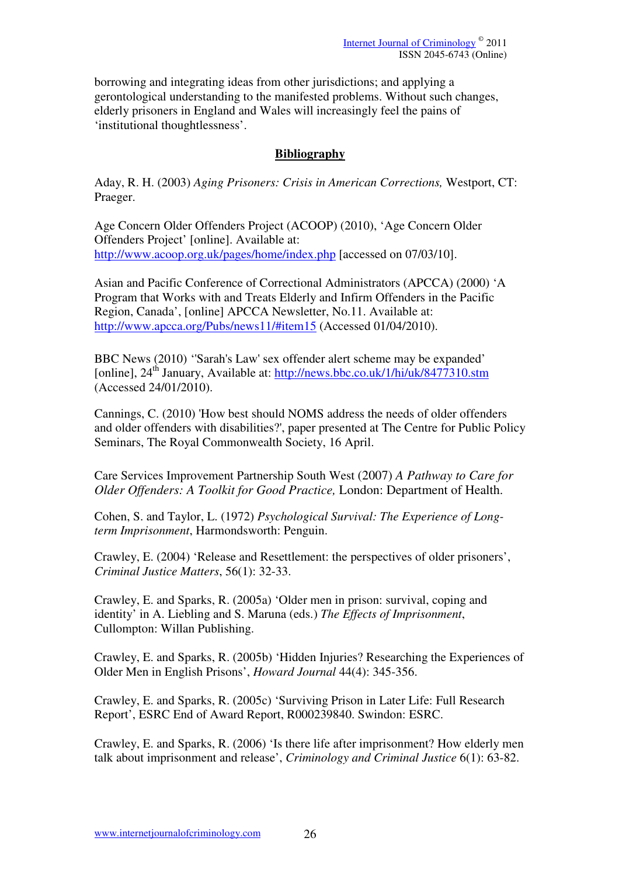borrowing and integrating ideas from other jurisdictions; and applying a gerontological understanding to the manifested problems. Without such changes, elderly prisoners in England and Wales will increasingly feel the pains of 'institutional thoughtlessness'.

# **Bibliography**

Aday, R. H. (2003) *Aging Prisoners: Crisis in American Corrections,* Westport, CT: Praeger.

Age Concern Older Offenders Project (ACOOP) (2010), 'Age Concern Older Offenders Project' [online]. Available at: http://www.acoop.org.uk/pages/home/index.php [accessed on 07/03/10].

Asian and Pacific Conference of Correctional Administrators (APCCA) (2000) 'A Program that Works with and Treats Elderly and Infirm Offenders in the Pacific Region, Canada', [online] APCCA Newsletter, No.11. Available at: http://www.apcca.org/Pubs/news11/#item15 (Accessed 01/04/2010).

BBC News (2010) ''Sarah's Law' sex offender alert scheme may be expanded' [online],  $24^{th}$  January, Available at: http://news.bbc.co.uk/1/hi/uk/8477310.stm (Accessed 24/01/2010).

Cannings, C. (2010) 'How best should NOMS address the needs of older offenders and older offenders with disabilities?', paper presented at The Centre for Public Policy Seminars, The Royal Commonwealth Society, 16 April.

Care Services Improvement Partnership South West (2007) *A Pathway to Care for Older Offenders: A Toolkit for Good Practice,* London: Department of Health.

Cohen, S. and Taylor, L. (1972) *Psychological Survival: The Experience of Longterm Imprisonment*, Harmondsworth: Penguin.

Crawley, E. (2004) 'Release and Resettlement: the perspectives of older prisoners', *Criminal Justice Matters*, 56(1): 32-33.

Crawley, E. and Sparks, R. (2005a) 'Older men in prison: survival, coping and identity' in A. Liebling and S. Maruna (eds.) *The Effects of Imprisonment*, Cullompton: Willan Publishing.

Crawley, E. and Sparks, R. (2005b) 'Hidden Injuries? Researching the Experiences of Older Men in English Prisons', *Howard Journal* 44(4): 345-356.

Crawley, E. and Sparks, R. (2005c) 'Surviving Prison in Later Life: Full Research Report', ESRC End of Award Report, R000239840. Swindon: ESRC.

Crawley, E. and Sparks, R. (2006) 'Is there life after imprisonment? How elderly men talk about imprisonment and release', *Criminology and Criminal Justice* 6(1): 63-82.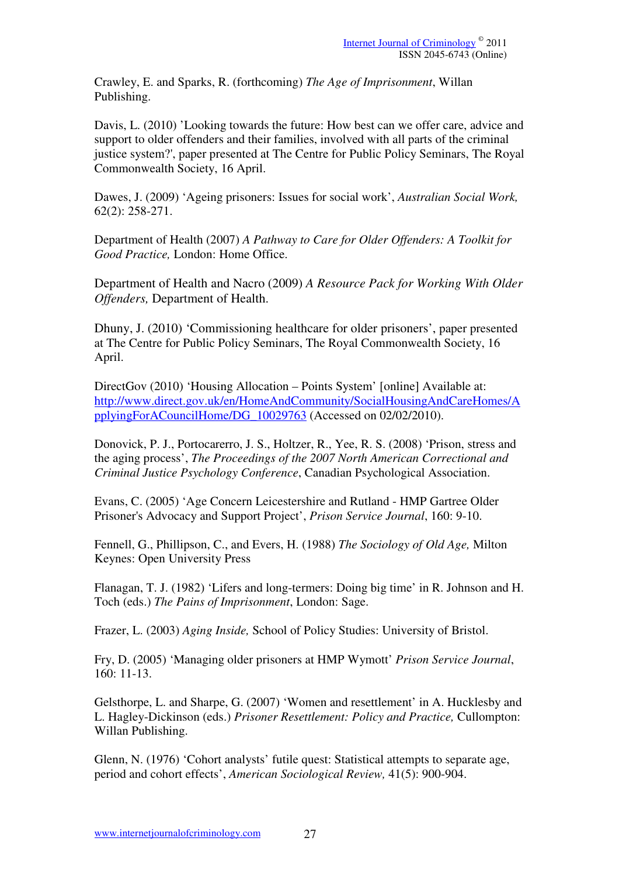Crawley, E. and Sparks, R. (forthcoming) *The Age of Imprisonment*, Willan Publishing.

Davis, L. (2010) 'Looking towards the future: How best can we offer care, advice and support to older offenders and their families, involved with all parts of the criminal justice system?', paper presented at The Centre for Public Policy Seminars, The Royal Commonwealth Society, 16 April.

Dawes, J. (2009) 'Ageing prisoners: Issues for social work', *Australian Social Work,*  62(2): 258-271.

Department of Health (2007) *A Pathway to Care for Older Offenders: A Toolkit for Good Practice,* London: Home Office.

Department of Health and Nacro (2009) *A Resource Pack for Working With Older Offenders,* Department of Health.

Dhuny, J. (2010) 'Commissioning healthcare for older prisoners', paper presented at The Centre for Public Policy Seminars, The Royal Commonwealth Society, 16 April.

DirectGov (2010) 'Housing Allocation – Points System' [online] Available at: http://www.direct.gov.uk/en/HomeAndCommunity/SocialHousingAndCareHomes/A pplyingForACouncilHome/DG\_10029763 (Accessed on 02/02/2010).

Donovick, P. J., Portocarerro, J. S., Holtzer, R., Yee, R. S. (2008) 'Prison, stress and the aging process', *The Proceedings of the 2007 North American Correctional and Criminal Justice Psychology Conference*, Canadian Psychological Association.

Evans, C. (2005) 'Age Concern Leicestershire and Rutland - HMP Gartree Older Prisoner's Advocacy and Support Project', *Prison Service Journal*, 160: 9-10.

Fennell, G., Phillipson, C., and Evers, H. (1988) *The Sociology of Old Age,* Milton Keynes: Open University Press

Flanagan, T. J. (1982) 'Lifers and long-termers: Doing big time' in R. Johnson and H. Toch (eds.) *The Pains of Imprisonment*, London: Sage.

Frazer, L. (2003) *Aging Inside,* School of Policy Studies: University of Bristol.

Fry, D. (2005) 'Managing older prisoners at HMP Wymott' *Prison Service Journal*, 160: 11-13.

Gelsthorpe, L. and Sharpe, G. (2007) 'Women and resettlement' in A. Hucklesby and L. Hagley-Dickinson (eds.) *Prisoner Resettlement: Policy and Practice,* Cullompton: Willan Publishing.

Glenn, N. (1976) 'Cohort analysts' futile quest: Statistical attempts to separate age, period and cohort effects', *American Sociological Review,* 41(5): 900-904.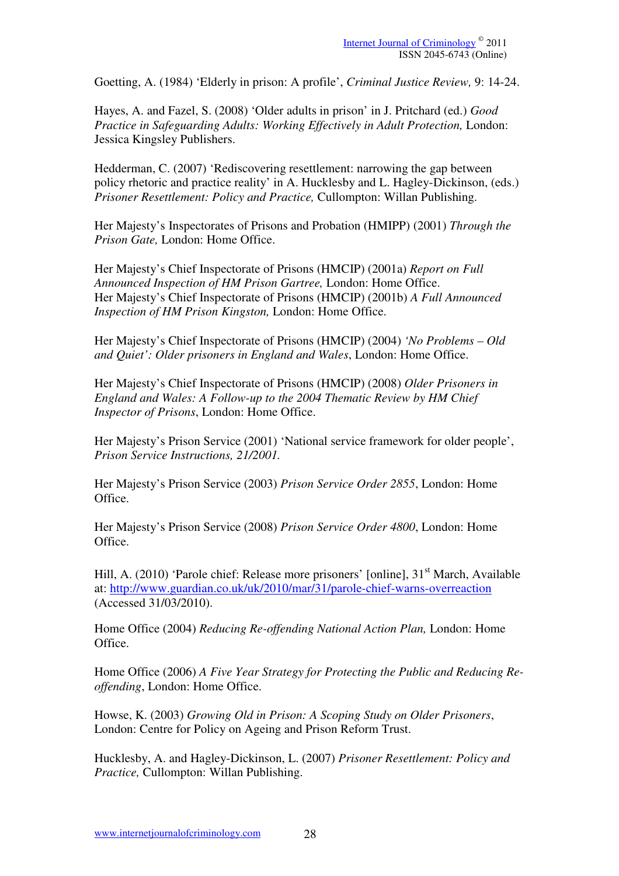Goetting, A. (1984) 'Elderly in prison: A profile', *Criminal Justice Review,* 9: 14-24.

Hayes, A. and Fazel, S. (2008) 'Older adults in prison' in J. Pritchard (ed.) *Good Practice in Safeguarding Adults: Working Effectively in Adult Protection, London:* Jessica Kingsley Publishers.

Hedderman, C. (2007) 'Rediscovering resettlement: narrowing the gap between policy rhetoric and practice reality' in A. Hucklesby and L. Hagley-Dickinson, (eds.) *Prisoner Resettlement: Policy and Practice,* Cullompton: Willan Publishing.

Her Majesty's Inspectorates of Prisons and Probation (HMIPP) (2001) *Through the Prison Gate,* London: Home Office.

Her Majesty's Chief Inspectorate of Prisons (HMCIP) (2001a) *Report on Full Announced Inspection of HM Prison Gartree,* London: Home Office. Her Majesty's Chief Inspectorate of Prisons (HMCIP) (2001b) *A Full Announced Inspection of HM Prison Kingston,* London: Home Office.

Her Majesty's Chief Inspectorate of Prisons (HMCIP) (2004) *'No Problems – Old and Quiet': Older prisoners in England and Wales*, London: Home Office.

Her Majesty's Chief Inspectorate of Prisons (HMCIP) (2008) *Older Prisoners in England and Wales: A Follow-up to the 2004 Thematic Review by HM Chief Inspector of Prisons*, London: Home Office.

Her Majesty's Prison Service (2001) 'National service framework for older people', *Prison Service Instructions, 21/2001.* 

Her Majesty's Prison Service (2003) *Prison Service Order 2855*, London: Home Office.

Her Majesty's Prison Service (2008) *Prison Service Order 4800*, London: Home Office.

Hill, A. (2010) 'Parole chief: Release more prisoners' [online], 31<sup>st</sup> March, Available at: http://www.guardian.co.uk/uk/2010/mar/31/parole-chief-warns-overreaction (Accessed 31/03/2010).

Home Office (2004) *Reducing Re-offending National Action Plan,* London: Home Office.

Home Office (2006) *A Five Year Strategy for Protecting the Public and Reducing Reoffending*, London: Home Office.

Howse, K. (2003) *Growing Old in Prison: A Scoping Study on Older Prisoners*, London: Centre for Policy on Ageing and Prison Reform Trust.

Hucklesby, A. and Hagley-Dickinson, L. (2007) *Prisoner Resettlement: Policy and Practice,* Cullompton: Willan Publishing.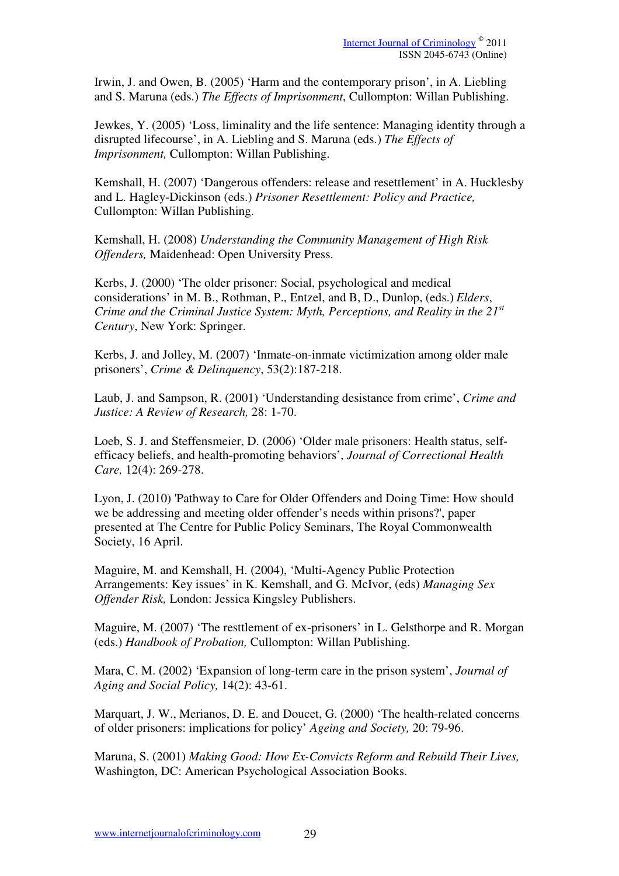Irwin, J. and Owen, B. (2005) 'Harm and the contemporary prison', in A. Liebling and S. Maruna (eds.) *The Effects of Imprisonment*, Cullompton: Willan Publishing.

Jewkes, Y. (2005) 'Loss, liminality and the life sentence: Managing identity through a disrupted lifecourse', in A. Liebling and S. Maruna (eds.) *The Effects of Imprisonment,* Cullompton: Willan Publishing.

Kemshall, H. (2007) 'Dangerous offenders: release and resettlement' in A. Hucklesby and L. Hagley-Dickinson (eds.) *Prisoner Resettlement: Policy and Practice,*  Cullompton: Willan Publishing.

Kemshall, H. (2008) *Understanding the Community Management of High Risk Offenders,* Maidenhead: Open University Press.

Kerbs, J. (2000) 'The older prisoner: Social, psychological and medical considerations' in M. B., Rothman, P., Entzel, and B, D., Dunlop, (eds.) *Elders*, *Crime and the Criminal Justice System: Myth, Perceptions, and Reality in the 21st Century*, New York: Springer.

Kerbs, J. and Jolley, M. (2007) 'Inmate-on-inmate victimization among older male prisoners', *Crime & Delinquency*, 53(2):187-218.

Laub, J. and Sampson, R. (2001) 'Understanding desistance from crime', *Crime and Justice: A Review of Research,* 28: 1-70.

Loeb, S. J. and Steffensmeier, D. (2006) 'Older male prisoners: Health status, selfefficacy beliefs, and health-promoting behaviors', *Journal of Correctional Health Care,* 12(4): 269-278.

Lyon, J. (2010) 'Pathway to Care for Older Offenders and Doing Time: How should we be addressing and meeting older offender's needs within prisons?', paper presented at The Centre for Public Policy Seminars, The Royal Commonwealth Society, 16 April.

Maguire, M. and Kemshall, H. (2004), 'Multi-Agency Public Protection Arrangements: Key issues' in K. Kemshall, and G. McIvor, (eds) *Managing Sex Offender Risk,* London: Jessica Kingsley Publishers.

Maguire, M. (2007) 'The resttlement of ex-prisoners' in L. Gelsthorpe and R. Morgan (eds.) *Handbook of Probation,* Cullompton: Willan Publishing.

Mara, C. M. (2002) 'Expansion of long-term care in the prison system', *Journal of Aging and Social Policy,* 14(2): 43-61.

Marquart, J. W., Merianos, D. E. and Doucet, G. (2000) 'The health-related concerns of older prisoners: implications for policy' *Ageing and Society,* 20: 79-96.

Maruna, S. (2001) *Making Good: How Ex-Convicts Reform and Rebuild Their Lives,*  Washington, DC: American Psychological Association Books.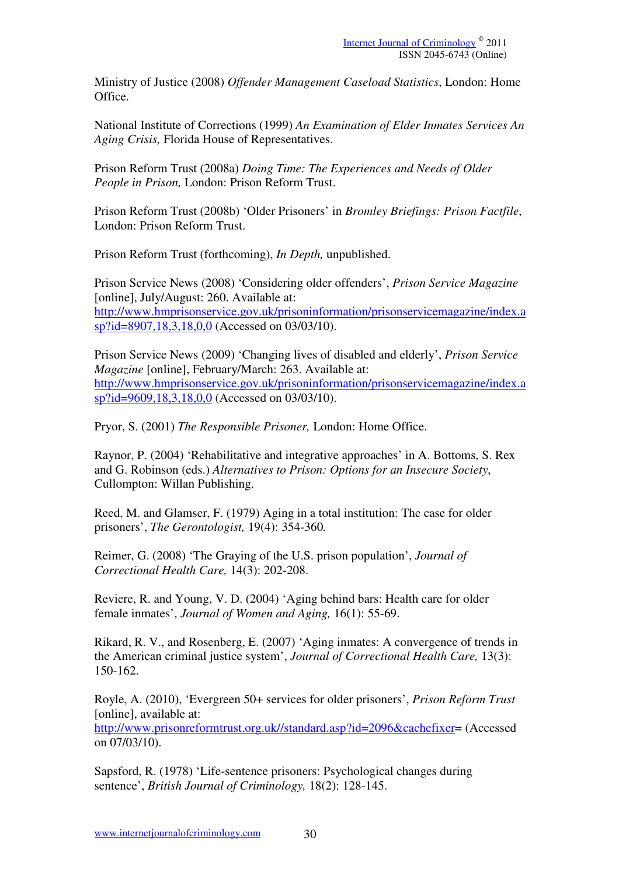Ministry of Justice (2008) *Offender Management Caseload Statistics*, London: Home Office.

National Institute of Corrections (1999) *An Examination of Elder Inmates Services An Aging Crisis,* Florida House of Representatives.

Prison Reform Trust (2008a) *Doing Time: The Experiences and Needs of Older People in Prison,* London: Prison Reform Trust.

Prison Reform Trust (2008b) 'Older Prisoners' in *Bromley Briefings: Prison Factfile*, London: Prison Reform Trust.

Prison Reform Trust (forthcoming), *In Depth,* unpublished.

Prison Service News (2008) 'Considering older offenders', *Prison Service Magazine*  [online], July/August: 260. Available at: http://www.hmprisonservice.gov.uk/prisoninformation/prisonservicemagazine/index.a sp?id=8907,18,3,18,0,0 (Accessed on 03/03/10).

Prison Service News (2009) 'Changing lives of disabled and elderly', *Prison Service Magazine* [online], February/March: 263. Available at: http://www.hmprisonservice.gov.uk/prisoninformation/prisonservicemagazine/index.a sp?id=9609,18,3,18,0,0 (Accessed on 03/03/10).

Pryor, S. (2001) *The Responsible Prisoner,* London: Home Office.

Raynor, P. (2004) 'Rehabilitative and integrative approaches' in A. Bottoms, S. Rex and G. Robinson (eds.) *Alternatives to Prison: Options for an Insecure Society*, Cullompton: Willan Publishing.

Reed, M. and Glamser, F. (1979) Aging in a total institution: The case for older prisoners', *The Gerontologist,* 19(4): 354-360*.*

Reimer, G. (2008) 'The Graying of the U.S. prison population', *Journal of Correctional Health Care,* 14(3): 202-208.

Reviere, R. and Young, V. D. (2004) 'Aging behind bars: Health care for older female inmates', *Journal of Women and Aging,* 16(1): 55-69.

Rikard, R. V., and Rosenberg, E. (2007) 'Aging inmates: A convergence of trends in the American criminal justice system', *Journal of Correctional Health Care,* 13(3): 150-162.

Royle, A. (2010), 'Evergreen 50+ services for older prisoners', *Prison Reform Trust* [online], available at:

http://www.prisonreformtrust.org.uk//standard.asp?id=2096&cachefixer= (Accessed on 07/03/10).

Sapsford, R. (1978) 'Life-sentence prisoners: Psychological changes during sentence', *British Journal of Criminology,* 18(2): 128-145.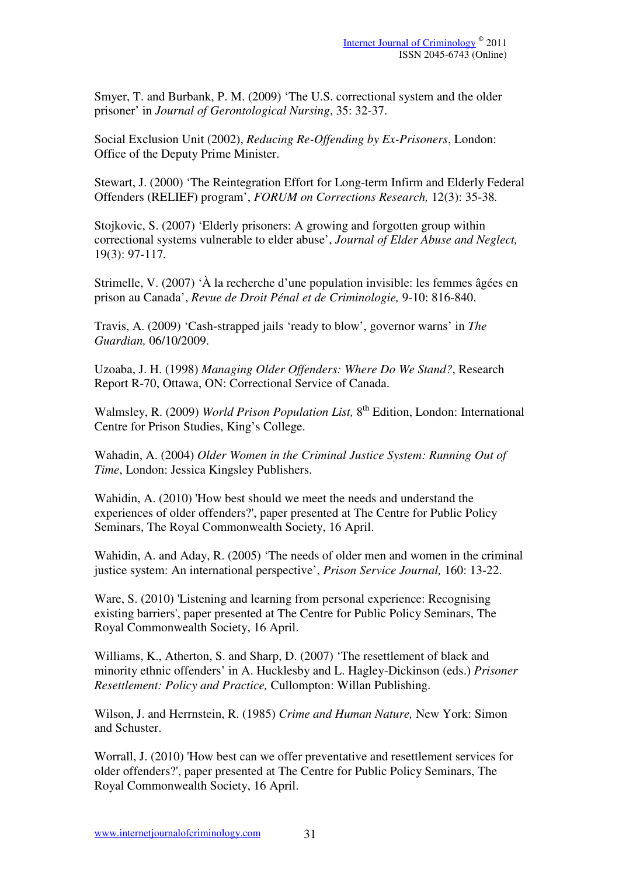Smyer, T. and Burbank, P. M. (2009) 'The U.S. correctional system and the older prisoner' in *Journal of Gerontological Nursing*, 35: 32-37.

Social Exclusion Unit (2002), *Reducing Re-Offending by Ex-Prisoners*, London: Office of the Deputy Prime Minister.

Stewart, J. (2000) 'The Reintegration Effort for Long-term Infirm and Elderly Federal Offenders (RELIEF) program', *FORUM on Corrections Research,* 12(3): 35-38*.* 

Stojkovic, S. (2007) 'Elderly prisoners: A growing and forgotten group within correctional systems vulnerable to elder abuse', *Journal of Elder Abuse and Neglect,*  19(3): 97-117*.* 

Strimelle, V. (2007) 'À la recherche d'une population invisible: les femmes âgées en prison au Canada', *Revue de Droit Pénal et de Criminologie,* 9-10: 816-840.

Travis, A. (2009) 'Cash-strapped jails 'ready to blow', governor warns' in *The Guardian,* 06/10/2009.

Uzoaba, J. H. (1998) *Managing Older Offenders: Where Do We Stand?*, Research Report R-70, Ottawa, ON: Correctional Service of Canada.

Walmsley, R. (2009) *World Prison Population List*, 8<sup>th</sup> Edition, London: International Centre for Prison Studies, King's College.

Wahadin, A. (2004) *Older Women in the Criminal Justice System: Running Out of Time*, London: Jessica Kingsley Publishers.

Wahidin, A. (2010) 'How best should we meet the needs and understand the experiences of older offenders?', paper presented at The Centre for Public Policy Seminars, The Royal Commonwealth Society, 16 April.

Wahidin, A. and Aday, R. (2005) 'The needs of older men and women in the criminal justice system: An international perspective', *Prison Service Journal,* 160: 13-22.

Ware, S. (2010) 'Listening and learning from personal experience: Recognising existing barriers', paper presented at The Centre for Public Policy Seminars, The Royal Commonwealth Society, 16 April.

Williams, K., Atherton, S. and Sharp, D. (2007) 'The resettlement of black and minority ethnic offenders' in A. Hucklesby and L. Hagley-Dickinson (eds.) *Prisoner Resettlement: Policy and Practice,* Cullompton: Willan Publishing.

Wilson, J. and Herrnstein, R. (1985) *Crime and Human Nature,* New York: Simon and Schuster.

Worrall, J. (2010) 'How best can we offer preventative and resettlement services for older offenders?', paper presented at The Centre for Public Policy Seminars, The Royal Commonwealth Society, 16 April.